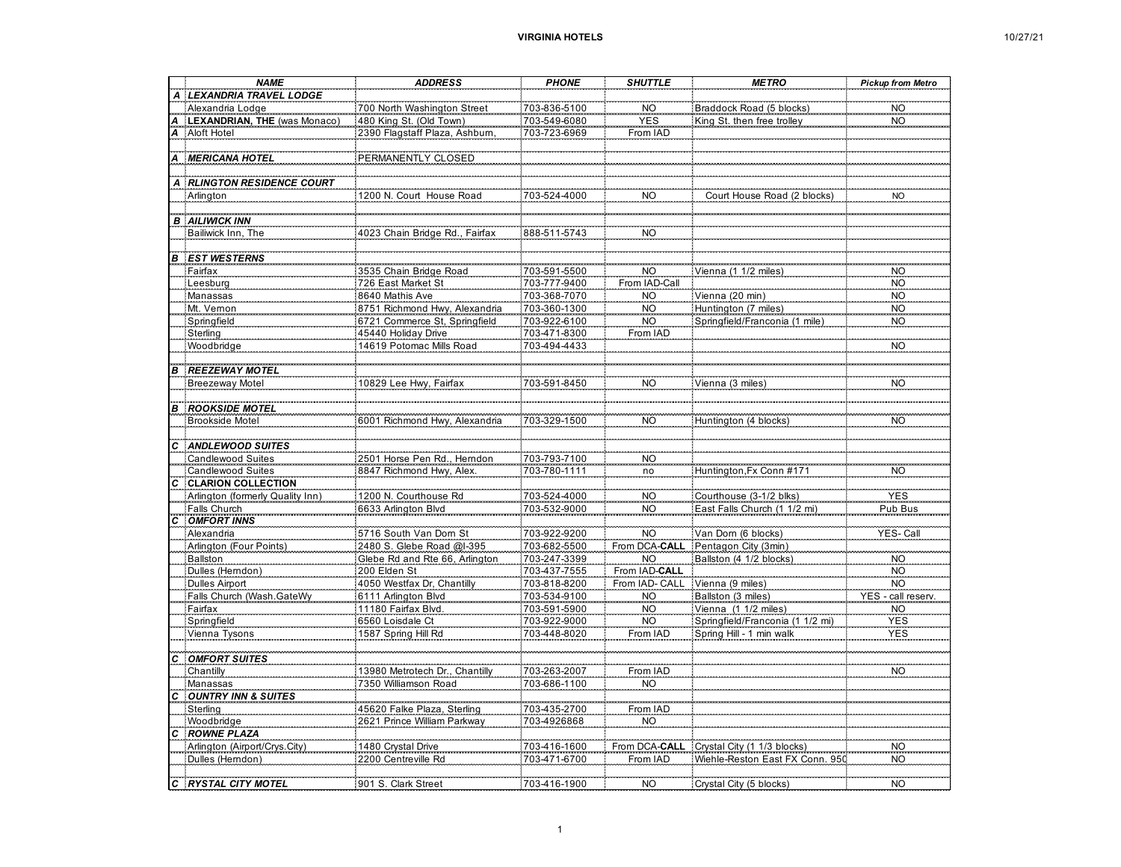|              | <b>NAME</b>                      | <b>ADDRESS</b>                 | <b>PHONE</b> | <b>SHUTTLE</b>  | <b>METRO</b>                              | <b>Pickup from Metro</b> |
|--------------|----------------------------------|--------------------------------|--------------|-----------------|-------------------------------------------|--------------------------|
|              | <b>LEXANDRIA TRAVEL LODGE</b>    |                                |              |                 |                                           |                          |
|              | Alexandria Lodge                 | 700 North Washington Street    | 703-836-5100 | NO <sub>1</sub> | Braddock Road (5 blocks)                  | NO <sub>.</sub>          |
|              | LEXANDRIAN, THE (was Monaco      | 480 King St. (Old Town)        | 703-549-6080 | <b>YES</b>      | King St. then free trolley                | <b>NO</b>                |
|              | Aloft Hotel                      |                                | 703-723-6969 | From IAD        |                                           |                          |
| Ą            |                                  |                                |              |                 |                                           |                          |
|              |                                  |                                |              |                 |                                           |                          |
| Α            | <b>MERICANA HOTEL</b>            | PERMANENTLY CLOSED             |              |                 |                                           |                          |
|              |                                  |                                |              |                 |                                           |                          |
| Α            | <b>RLINGTON RESIDENCE COURT</b>  |                                |              |                 |                                           |                          |
|              | Arlington                        | 1200 N. Court House Road       | 703-524-4000 | N <sub>O</sub>  | Court House Road (2 blocks)               | <b>NO</b>                |
|              |                                  |                                |              |                 |                                           |                          |
|              | <b>B</b> AILIWICK INN            |                                |              |                 |                                           |                          |
|              | Bailiwick Inn, The               | 4023 Chain Bridge Rd., Fairfax | 888-511-5743 | <b>NO</b>       |                                           |                          |
|              |                                  |                                |              |                 |                                           |                          |
| В            | <b>EST WESTERNS</b>              |                                |              |                 |                                           |                          |
|              | Fairfax                          | 3535 Chain Bridge Road         | 703-591-5500 | NO              | Vienna (1 1/2 miles                       |                          |
|              | Leesburg                         | 726 East Market St             | 703-777-9400 | From IAD-Call   |                                           | NO<br>NO                 |
|              | Manassas                         | 8640 Mathis Ave                | 703-368-7070 | <b>NO</b>       | Vienna (20 min)                           | <b>NO</b>                |
|              | Mt. Vernon                       | 8751 Richmond Hwy, Alexandria  | 703-360-1300 | <b>NO</b>       | Huntington (7 miles)                      | <b>NO</b>                |
|              |                                  | 6721 Commerce St, Springfield  | 703-922-6100 | <b>NO</b>       | Springfield/Franconia (1 mile)            | <b>NO</b>                |
|              | Springfield                      |                                |              |                 |                                           |                          |
|              | Sterling                         | 45440 Holiday Drive            | 703-471-8300 | From IAD        |                                           |                          |
|              | Woodbridge                       | 14619 Potomac Mills Road       | 703-494-4433 |                 |                                           | <b>NO</b>                |
|              |                                  |                                |              |                 |                                           |                          |
| B            | <b>REEZEWAY MOTEL</b>            |                                |              |                 |                                           |                          |
|              | <b>Breezeway Motel</b>           | 10829 Lee Hwy, Fairfax         | 703-591-8450 | <b>NO</b>       | Vienna (3 miles)                          | <b>NO</b>                |
|              |                                  |                                |              |                 |                                           |                          |
| B            | <b>ROOKSIDE MOTEL</b>            |                                |              |                 |                                           |                          |
|              | <b>Brookside Motel</b>           | 6001 Richmond Hwy, Alexandria  | 703-329-1500 | <b>NO</b>       | Huntington (4 blocks)                     | <b>NO</b>                |
|              |                                  |                                |              |                 |                                           |                          |
|              | <b>ANDLEWOOD SUITES</b>          |                                |              |                 |                                           |                          |
|              | <b>Candlewood Suites</b>         | 2501 Horse Pen Rd., Herndon    | 703-793-7100 | <b>NO</b>       |                                           |                          |
|              | Candlewood Suites                | 8847 Richmond Hwy, Alex.       | 703-780-1111 | no              | Huntington, Fx Conn #171                  | <b>NO</b>                |
| C            | <b>CLARION COLLECTION</b>        |                                |              |                 |                                           |                          |
|              | Arlington (formerly Quality Inn) | 1200 N. Courthouse Rd          | 703-524-4000 | N <sub>O</sub>  | Courthouse (3-1/2 blks)                   | <b>YES</b>               |
|              | Falls Church                     | 6633 Arlington Blvd            | 703-532-9000 | NO <sub>.</sub> | East Falls Church (1 1/2 mi)              | Pub Bus                  |
| C            | <b>OMFORT INNS</b>               |                                |              |                 |                                           |                          |
|              | Alexandria                       | 5716 South Van Dom St          | 703-922-9200 | <b>NO</b>       | Van Dom (6 blocks)                        | YES-Call                 |
|              | Arlington (Four Points)          | 2480 S. Glebe Road @I-395      | 703-682-5500 | From DCA-CALL   | Pentagon City (3min)                      |                          |
|              |                                  | Glebe Rd and Rte 66, Arlington |              | <b>NO</b>       |                                           |                          |
|              | Ballston                         |                                | 703-247-3399 |                 | Ballston (4 1/2 blocks)                   | <b>NO</b>                |
|              | Dulles (Hemdon)                  | 200 Elden St                   | 703-437-7555 | From IAD-CALL   |                                           | <b>NO</b>                |
|              | <b>Dulles Airport</b>            | 4050 Westfax Dr, Chantilly     | 703-818-8200 | From IAD- CALL  | Vienna (9 miles)                          | NO <sub>1</sub>          |
|              | Falls Church (Wash.GateWy        | 6111 Arlington Blvd            | 703-534-9100 | NO<br>NO        | Ballston (3 miles)                        | - call reser<br>YES      |
|              | Fairfax                          | 11180 Fairfax Blvd.            | 703-591-5900 |                 | Vienna (1 1/2 miles)                      | <b>NO</b>                |
|              | Springfield                      | 6560 Loisdale Ct               | 703-922-9000 | <b>NO</b>       | Springfield/Franconia (1 1/2 mi)          | <b>YES</b>               |
|              | Vienna Tysons                    | 1587 Spring Hill Rd            | 703-448-8020 | From IAD        | Spring Hill - 1 min walk                  | <b>YES</b>               |
|              |                                  |                                |              |                 |                                           |                          |
| c            | <b>OMFORT SUITES</b>             |                                |              |                 |                                           |                          |
|              | Chantilly                        | 13980 Metrotech Dr., Chantilly | 703-263-2007 | From IAD        |                                           | <b>NO</b>                |
|              | Manassas                         | 7350 Williamson Road           | 703-686-1100 | <b>NO</b>       |                                           |                          |
| С            | <b>OUNTRY INN &amp; SUITES</b>   |                                |              |                 |                                           |                          |
|              | Sterling                         | 45620 Falke Plaza, Sterling    | 703-435-2700 | From IAD        |                                           |                          |
|              | Woodbridge                       | 2621 Prince William Parkway    | 703-4926868  | <b>NO</b>       |                                           |                          |
| C            | <b>ROWNE PLAZA</b>               |                                |              |                 |                                           |                          |
|              | Arlington (Airport/Crys.City)    | 1480 Crystal Drive             | 703-416-1600 |                 | From DCA-CALL Crystal City (1 1/3 blocks) | <b>NO</b>                |
|              | Dulles (Hemdon)                  | 2200 Centreville Rd            | 703-471-6700 | From IAD        | Wiehle-Reston East FX Conn. 950           | <b>NO</b>                |
|              |                                  |                                |              |                 |                                           |                          |
| $\mathbf{c}$ |                                  |                                |              |                 |                                           |                          |
|              | <b>RYSTAL CITY MOTEL</b>         | 901 S. Clark Street            | 703-416-1900 | <b>NO</b>       | Crystal City (5 blocks)                   | <b>NO</b>                |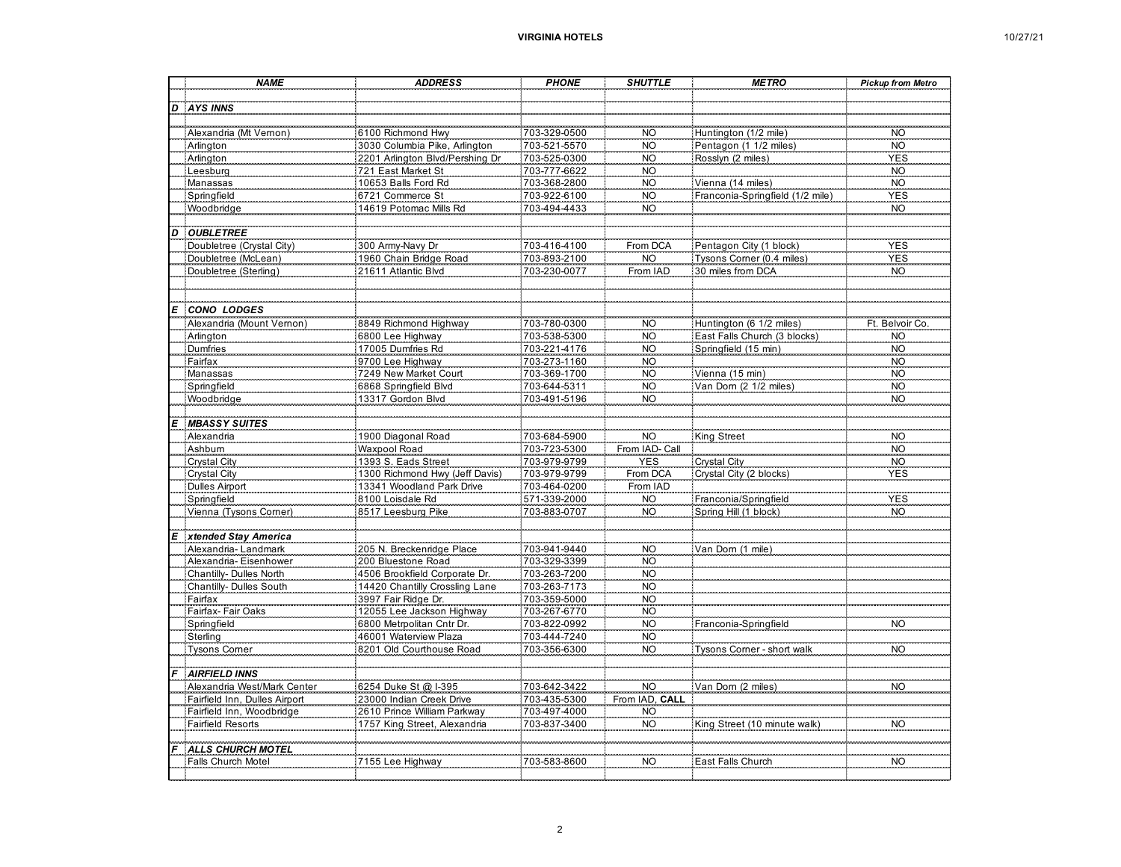| 10/27/2 |  |
|---------|--|
|---------|--|

| D AYS INNS<br>Alexandria (Mt Vernon)<br>6100 Richmond Hwy<br>703-329-0500<br>NO<br>Huntington (1/2 mile)<br>NO<br>Arlington<br>3030 Columbia Pike, Arlington<br>703-521-5570<br><b>NO</b><br>Pentagon (1 1/2 miles)<br><b>NO</b><br>2201 Arlington Blvd/Pershing Dr<br>Arlington<br><b>NO</b><br>Rosslyn (2 miles)<br>703-525-0300<br><b>YES</b><br>721 East Market St<br>703-777-6622<br><b>NO</b><br>Leesburg<br><b>NO</b><br>10653 Balls Ford Rd<br>Manassas<br>703-368-2800<br><b>NO</b><br>Vienna (14 miles)<br><b>NO</b><br>Springfield<br>6721 Commerce St<br>703-922-6100<br><b>NO</b><br><b>YES</b><br>Franconia-Springfield (1/2 mile)<br>Woodbridge<br>14619 Potomac Mills Rd<br>703-494-4433<br>NO <sub>.</sub><br><b>NO</b><br><b>OUBLETREE</b><br>$\boldsymbol{D}$<br>Doubletree (Crystal City)<br>From DCA<br><b>YES</b><br>300 Army-Navy Dr<br>703-416-4100<br>Pentagon City (1 block)<br>1960 Chain Bridge Road<br>Tysons Corner (0.4 miles)<br><b>YES</b><br>Doubletree (McLean)<br>703-893-2100<br>NO <sub>1</sub><br>703-230-0077<br>Doubletree (Sterling)<br>21611 Atlantic Blvd<br>From IAD<br>30 miles from DCA<br><b>NO</b><br><b>CONO LODGES</b><br>E<br>8849 Richmond Highway<br>703-780-0300<br>Alexandria (Mount Vernon)<br><b>NO</b><br>Huntington (6 1/2 miles)<br>703-538-5300<br><b>NO</b><br>East Falls Church (3 blocks)<br><b>NO</b><br>Arlington<br>6800 Lee Highway<br>Dumfries<br>17005 Dumfries Rd<br>703-221-4176<br><b>NO</b><br>Springfield (15 min)<br><b>NO</b><br>Fairfax<br>9700 Lee Highway<br><b>NO</b><br>703-273-1160<br><b>NO</b><br>Manassas<br>7249 New Market Court<br>703-369-1700<br><b>NO</b><br><b>NO</b><br>Vienna (15 min)<br>Springfield<br>6868 Springfield Blvd<br>703-644-5311<br><b>NO</b><br>Van Dom (2 1/2 miles)<br><b>NO</b><br>Woodbridge<br>13317 Gordon Blvd<br><b>NO</b><br>703-491-5196<br><b>NO</b><br><b>MBASSY SUITES</b><br>E<br>703-684-5900<br>King Street<br>Alexandria<br><b>NO</b><br>NO.<br><b>Waxpool Road</b><br>703-723-5300<br>Ashbum<br>From IAD- Call<br><b>NO</b><br><b>Crystal City</b><br>1393 S. Eads Street<br>703-979-9799<br><b>Crystal City</b><br><b>NO</b><br><b>YES</b><br>1300 Richmond Hwy (Jeff Davis)<br>Crystal City (2 blocks)<br>Crystal City<br>703-979-9799<br>From DCA<br><b>YES</b><br>13341 Woodland Park Drive<br><b>Dulles Airport</b><br>703-464-0200<br>From IAD<br>8100 Loisdale Rd<br>571-339-2000<br><b>NO</b><br>Franconia/Springfield<br>Springfield<br><b>YES</b><br>Vienna (Tysons Comer)<br>8517 Leesburg Pike<br>703-883-0707<br><b>NO</b><br>Spring Hill (1 block)<br><b>NO</b><br>$\mathbf{E}$<br>xtended Stay America<br>703-941-9440<br>Alexandria-Landmark<br>205 N. Breckenridge Place<br><b>NO</b><br>Van Dom (1 mile)<br>Alexandria-Eisenhower<br>200 Bluestone Road<br>703-329-3399<br><b>NO</b><br><b>NO</b><br>Chantilly- Dulles North<br>4506 Brookfield Corporate Dr.<br>703-263-7200<br>Chantilly- Dulles South<br>14420 Chantilly Crossling Lane<br>703-263-7173<br><b>NO</b><br>Fairfax<br>3997 Fair Ridge Dr.<br>703-359-5000<br><b>NO</b><br>Fairfax-Fair Oaks<br>12055 Lee Jackson Highway<br>703-267-6770<br><b>NO</b><br>6800 Metrpolitan Cntr Dr.<br>703-822-0992<br><b>NO</b><br>Springfield<br>Franconia-Springfield<br><b>NO</b><br>46001 Waterview Plaza<br>703-444-7240<br><b>NO</b><br>Sterling<br><b>Tysons Comer</b><br>8201 Old Courthouse Road<br>703-356-6300<br><b>NO</b><br>Tysons Comer - short walk<br><b>NO</b><br><b>AIRFIELD INNS</b><br>Alexandria West/Mark Center<br>6254 Duke St @ I-395<br>Van Dom (2 miles)<br>703-642-3422<br>NO<br>NO.<br>From IAD, CALL<br>Fairfield Inn, Dulles Airport<br>23000 Indian Creek Drive<br>703-435-5300<br>Fairfield Inn, Woodbridge<br>2610 Prince William Parkway<br>703-497-4000<br><b>NO</b><br><b>Fairfield Resorts</b><br>1757 King Street, Alexandria<br><b>NO</b><br>King Street (10 minute walk)<br><b>NO</b><br>703-837-3400<br>ALLS CHURCH MOTEL<br><b>NO</b><br>Falls Church Motel<br>7155 Lee Highway<br>703-583-8600<br>East Falls Church<br>NO | <b>NAME</b> | <b>ADDRESS</b> | <b>PHONE</b> | <b>SHUTTLE</b> | <b>METRO</b> | <b>Pickup from Metro</b> |
|---------------------------------------------------------------------------------------------------------------------------------------------------------------------------------------------------------------------------------------------------------------------------------------------------------------------------------------------------------------------------------------------------------------------------------------------------------------------------------------------------------------------------------------------------------------------------------------------------------------------------------------------------------------------------------------------------------------------------------------------------------------------------------------------------------------------------------------------------------------------------------------------------------------------------------------------------------------------------------------------------------------------------------------------------------------------------------------------------------------------------------------------------------------------------------------------------------------------------------------------------------------------------------------------------------------------------------------------------------------------------------------------------------------------------------------------------------------------------------------------------------------------------------------------------------------------------------------------------------------------------------------------------------------------------------------------------------------------------------------------------------------------------------------------------------------------------------------------------------------------------------------------------------------------------------------------------------------------------------------------------------------------------------------------------------------------------------------------------------------------------------------------------------------------------------------------------------------------------------------------------------------------------------------------------------------------------------------------------------------------------------------------------------------------------------------------------------------------------------------------------------------------------------------------------------------------------------------------------------------------------------------------------------------------------------------------------------------------------------------------------------------------------------------------------------------------------------------------------------------------------------------------------------------------------------------------------------------------------------------------------------------------------------------------------------------------------------------------------------------------------------------------------------------------------------------------------------------------------------------------------------------------------------------------------------------------------------------------------------------------------------------------------------------------------------------------------------------------------------------------------------------------------------------------------------------------------------------------------------------------------------------------------------------------------------------------------------------------------------------------------------------------------------------------------------------------------------------------------------------------------------------------------------------------------------------------------------------------------------------------------------------------------------------------------------------------------|-------------|----------------|--------------|----------------|--------------|--------------------------|
|                                                                                                                                                                                                                                                                                                                                                                                                                                                                                                                                                                                                                                                                                                                                                                                                                                                                                                                                                                                                                                                                                                                                                                                                                                                                                                                                                                                                                                                                                                                                                                                                                                                                                                                                                                                                                                                                                                                                                                                                                                                                                                                                                                                                                                                                                                                                                                                                                                                                                                                                                                                                                                                                                                                                                                                                                                                                                                                                                                                                                                                                                                                                                                                                                                                                                                                                                                                                                                                                                                                                                                                                                                                                                                                                                                                                                                                                                                                                                                                                                                                                           |             |                |              |                |              |                          |
|                                                                                                                                                                                                                                                                                                                                                                                                                                                                                                                                                                                                                                                                                                                                                                                                                                                                                                                                                                                                                                                                                                                                                                                                                                                                                                                                                                                                                                                                                                                                                                                                                                                                                                                                                                                                                                                                                                                                                                                                                                                                                                                                                                                                                                                                                                                                                                                                                                                                                                                                                                                                                                                                                                                                                                                                                                                                                                                                                                                                                                                                                                                                                                                                                                                                                                                                                                                                                                                                                                                                                                                                                                                                                                                                                                                                                                                                                                                                                                                                                                                                           |             |                |              |                |              |                          |
|                                                                                                                                                                                                                                                                                                                                                                                                                                                                                                                                                                                                                                                                                                                                                                                                                                                                                                                                                                                                                                                                                                                                                                                                                                                                                                                                                                                                                                                                                                                                                                                                                                                                                                                                                                                                                                                                                                                                                                                                                                                                                                                                                                                                                                                                                                                                                                                                                                                                                                                                                                                                                                                                                                                                                                                                                                                                                                                                                                                                                                                                                                                                                                                                                                                                                                                                                                                                                                                                                                                                                                                                                                                                                                                                                                                                                                                                                                                                                                                                                                                                           |             |                |              |                |              |                          |
|                                                                                                                                                                                                                                                                                                                                                                                                                                                                                                                                                                                                                                                                                                                                                                                                                                                                                                                                                                                                                                                                                                                                                                                                                                                                                                                                                                                                                                                                                                                                                                                                                                                                                                                                                                                                                                                                                                                                                                                                                                                                                                                                                                                                                                                                                                                                                                                                                                                                                                                                                                                                                                                                                                                                                                                                                                                                                                                                                                                                                                                                                                                                                                                                                                                                                                                                                                                                                                                                                                                                                                                                                                                                                                                                                                                                                                                                                                                                                                                                                                                                           |             |                |              |                |              |                          |
|                                                                                                                                                                                                                                                                                                                                                                                                                                                                                                                                                                                                                                                                                                                                                                                                                                                                                                                                                                                                                                                                                                                                                                                                                                                                                                                                                                                                                                                                                                                                                                                                                                                                                                                                                                                                                                                                                                                                                                                                                                                                                                                                                                                                                                                                                                                                                                                                                                                                                                                                                                                                                                                                                                                                                                                                                                                                                                                                                                                                                                                                                                                                                                                                                                                                                                                                                                                                                                                                                                                                                                                                                                                                                                                                                                                                                                                                                                                                                                                                                                                                           |             |                |              |                |              |                          |
|                                                                                                                                                                                                                                                                                                                                                                                                                                                                                                                                                                                                                                                                                                                                                                                                                                                                                                                                                                                                                                                                                                                                                                                                                                                                                                                                                                                                                                                                                                                                                                                                                                                                                                                                                                                                                                                                                                                                                                                                                                                                                                                                                                                                                                                                                                                                                                                                                                                                                                                                                                                                                                                                                                                                                                                                                                                                                                                                                                                                                                                                                                                                                                                                                                                                                                                                                                                                                                                                                                                                                                                                                                                                                                                                                                                                                                                                                                                                                                                                                                                                           |             |                |              |                |              |                          |
|                                                                                                                                                                                                                                                                                                                                                                                                                                                                                                                                                                                                                                                                                                                                                                                                                                                                                                                                                                                                                                                                                                                                                                                                                                                                                                                                                                                                                                                                                                                                                                                                                                                                                                                                                                                                                                                                                                                                                                                                                                                                                                                                                                                                                                                                                                                                                                                                                                                                                                                                                                                                                                                                                                                                                                                                                                                                                                                                                                                                                                                                                                                                                                                                                                                                                                                                                                                                                                                                                                                                                                                                                                                                                                                                                                                                                                                                                                                                                                                                                                                                           |             |                |              |                |              |                          |
|                                                                                                                                                                                                                                                                                                                                                                                                                                                                                                                                                                                                                                                                                                                                                                                                                                                                                                                                                                                                                                                                                                                                                                                                                                                                                                                                                                                                                                                                                                                                                                                                                                                                                                                                                                                                                                                                                                                                                                                                                                                                                                                                                                                                                                                                                                                                                                                                                                                                                                                                                                                                                                                                                                                                                                                                                                                                                                                                                                                                                                                                                                                                                                                                                                                                                                                                                                                                                                                                                                                                                                                                                                                                                                                                                                                                                                                                                                                                                                                                                                                                           |             |                |              |                |              |                          |
|                                                                                                                                                                                                                                                                                                                                                                                                                                                                                                                                                                                                                                                                                                                                                                                                                                                                                                                                                                                                                                                                                                                                                                                                                                                                                                                                                                                                                                                                                                                                                                                                                                                                                                                                                                                                                                                                                                                                                                                                                                                                                                                                                                                                                                                                                                                                                                                                                                                                                                                                                                                                                                                                                                                                                                                                                                                                                                                                                                                                                                                                                                                                                                                                                                                                                                                                                                                                                                                                                                                                                                                                                                                                                                                                                                                                                                                                                                                                                                                                                                                                           |             |                |              |                |              |                          |
|                                                                                                                                                                                                                                                                                                                                                                                                                                                                                                                                                                                                                                                                                                                                                                                                                                                                                                                                                                                                                                                                                                                                                                                                                                                                                                                                                                                                                                                                                                                                                                                                                                                                                                                                                                                                                                                                                                                                                                                                                                                                                                                                                                                                                                                                                                                                                                                                                                                                                                                                                                                                                                                                                                                                                                                                                                                                                                                                                                                                                                                                                                                                                                                                                                                                                                                                                                                                                                                                                                                                                                                                                                                                                                                                                                                                                                                                                                                                                                                                                                                                           |             |                |              |                |              |                          |
|                                                                                                                                                                                                                                                                                                                                                                                                                                                                                                                                                                                                                                                                                                                                                                                                                                                                                                                                                                                                                                                                                                                                                                                                                                                                                                                                                                                                                                                                                                                                                                                                                                                                                                                                                                                                                                                                                                                                                                                                                                                                                                                                                                                                                                                                                                                                                                                                                                                                                                                                                                                                                                                                                                                                                                                                                                                                                                                                                                                                                                                                                                                                                                                                                                                                                                                                                                                                                                                                                                                                                                                                                                                                                                                                                                                                                                                                                                                                                                                                                                                                           |             |                |              |                |              |                          |
|                                                                                                                                                                                                                                                                                                                                                                                                                                                                                                                                                                                                                                                                                                                                                                                                                                                                                                                                                                                                                                                                                                                                                                                                                                                                                                                                                                                                                                                                                                                                                                                                                                                                                                                                                                                                                                                                                                                                                                                                                                                                                                                                                                                                                                                                                                                                                                                                                                                                                                                                                                                                                                                                                                                                                                                                                                                                                                                                                                                                                                                                                                                                                                                                                                                                                                                                                                                                                                                                                                                                                                                                                                                                                                                                                                                                                                                                                                                                                                                                                                                                           |             |                |              |                |              |                          |
|                                                                                                                                                                                                                                                                                                                                                                                                                                                                                                                                                                                                                                                                                                                                                                                                                                                                                                                                                                                                                                                                                                                                                                                                                                                                                                                                                                                                                                                                                                                                                                                                                                                                                                                                                                                                                                                                                                                                                                                                                                                                                                                                                                                                                                                                                                                                                                                                                                                                                                                                                                                                                                                                                                                                                                                                                                                                                                                                                                                                                                                                                                                                                                                                                                                                                                                                                                                                                                                                                                                                                                                                                                                                                                                                                                                                                                                                                                                                                                                                                                                                           |             |                |              |                |              |                          |
|                                                                                                                                                                                                                                                                                                                                                                                                                                                                                                                                                                                                                                                                                                                                                                                                                                                                                                                                                                                                                                                                                                                                                                                                                                                                                                                                                                                                                                                                                                                                                                                                                                                                                                                                                                                                                                                                                                                                                                                                                                                                                                                                                                                                                                                                                                                                                                                                                                                                                                                                                                                                                                                                                                                                                                                                                                                                                                                                                                                                                                                                                                                                                                                                                                                                                                                                                                                                                                                                                                                                                                                                                                                                                                                                                                                                                                                                                                                                                                                                                                                                           |             |                |              |                |              |                          |
|                                                                                                                                                                                                                                                                                                                                                                                                                                                                                                                                                                                                                                                                                                                                                                                                                                                                                                                                                                                                                                                                                                                                                                                                                                                                                                                                                                                                                                                                                                                                                                                                                                                                                                                                                                                                                                                                                                                                                                                                                                                                                                                                                                                                                                                                                                                                                                                                                                                                                                                                                                                                                                                                                                                                                                                                                                                                                                                                                                                                                                                                                                                                                                                                                                                                                                                                                                                                                                                                                                                                                                                                                                                                                                                                                                                                                                                                                                                                                                                                                                                                           |             |                |              |                |              |                          |
|                                                                                                                                                                                                                                                                                                                                                                                                                                                                                                                                                                                                                                                                                                                                                                                                                                                                                                                                                                                                                                                                                                                                                                                                                                                                                                                                                                                                                                                                                                                                                                                                                                                                                                                                                                                                                                                                                                                                                                                                                                                                                                                                                                                                                                                                                                                                                                                                                                                                                                                                                                                                                                                                                                                                                                                                                                                                                                                                                                                                                                                                                                                                                                                                                                                                                                                                                                                                                                                                                                                                                                                                                                                                                                                                                                                                                                                                                                                                                                                                                                                                           |             |                |              |                |              |                          |
|                                                                                                                                                                                                                                                                                                                                                                                                                                                                                                                                                                                                                                                                                                                                                                                                                                                                                                                                                                                                                                                                                                                                                                                                                                                                                                                                                                                                                                                                                                                                                                                                                                                                                                                                                                                                                                                                                                                                                                                                                                                                                                                                                                                                                                                                                                                                                                                                                                                                                                                                                                                                                                                                                                                                                                                                                                                                                                                                                                                                                                                                                                                                                                                                                                                                                                                                                                                                                                                                                                                                                                                                                                                                                                                                                                                                                                                                                                                                                                                                                                                                           |             |                |              |                |              |                          |
|                                                                                                                                                                                                                                                                                                                                                                                                                                                                                                                                                                                                                                                                                                                                                                                                                                                                                                                                                                                                                                                                                                                                                                                                                                                                                                                                                                                                                                                                                                                                                                                                                                                                                                                                                                                                                                                                                                                                                                                                                                                                                                                                                                                                                                                                                                                                                                                                                                                                                                                                                                                                                                                                                                                                                                                                                                                                                                                                                                                                                                                                                                                                                                                                                                                                                                                                                                                                                                                                                                                                                                                                                                                                                                                                                                                                                                                                                                                                                                                                                                                                           |             |                |              |                |              |                          |
|                                                                                                                                                                                                                                                                                                                                                                                                                                                                                                                                                                                                                                                                                                                                                                                                                                                                                                                                                                                                                                                                                                                                                                                                                                                                                                                                                                                                                                                                                                                                                                                                                                                                                                                                                                                                                                                                                                                                                                                                                                                                                                                                                                                                                                                                                                                                                                                                                                                                                                                                                                                                                                                                                                                                                                                                                                                                                                                                                                                                                                                                                                                                                                                                                                                                                                                                                                                                                                                                                                                                                                                                                                                                                                                                                                                                                                                                                                                                                                                                                                                                           |             |                |              |                |              | Ft. Belvoir Co.          |
|                                                                                                                                                                                                                                                                                                                                                                                                                                                                                                                                                                                                                                                                                                                                                                                                                                                                                                                                                                                                                                                                                                                                                                                                                                                                                                                                                                                                                                                                                                                                                                                                                                                                                                                                                                                                                                                                                                                                                                                                                                                                                                                                                                                                                                                                                                                                                                                                                                                                                                                                                                                                                                                                                                                                                                                                                                                                                                                                                                                                                                                                                                                                                                                                                                                                                                                                                                                                                                                                                                                                                                                                                                                                                                                                                                                                                                                                                                                                                                                                                                                                           |             |                |              |                |              |                          |
|                                                                                                                                                                                                                                                                                                                                                                                                                                                                                                                                                                                                                                                                                                                                                                                                                                                                                                                                                                                                                                                                                                                                                                                                                                                                                                                                                                                                                                                                                                                                                                                                                                                                                                                                                                                                                                                                                                                                                                                                                                                                                                                                                                                                                                                                                                                                                                                                                                                                                                                                                                                                                                                                                                                                                                                                                                                                                                                                                                                                                                                                                                                                                                                                                                                                                                                                                                                                                                                                                                                                                                                                                                                                                                                                                                                                                                                                                                                                                                                                                                                                           |             |                |              |                |              |                          |
|                                                                                                                                                                                                                                                                                                                                                                                                                                                                                                                                                                                                                                                                                                                                                                                                                                                                                                                                                                                                                                                                                                                                                                                                                                                                                                                                                                                                                                                                                                                                                                                                                                                                                                                                                                                                                                                                                                                                                                                                                                                                                                                                                                                                                                                                                                                                                                                                                                                                                                                                                                                                                                                                                                                                                                                                                                                                                                                                                                                                                                                                                                                                                                                                                                                                                                                                                                                                                                                                                                                                                                                                                                                                                                                                                                                                                                                                                                                                                                                                                                                                           |             |                |              |                |              |                          |
|                                                                                                                                                                                                                                                                                                                                                                                                                                                                                                                                                                                                                                                                                                                                                                                                                                                                                                                                                                                                                                                                                                                                                                                                                                                                                                                                                                                                                                                                                                                                                                                                                                                                                                                                                                                                                                                                                                                                                                                                                                                                                                                                                                                                                                                                                                                                                                                                                                                                                                                                                                                                                                                                                                                                                                                                                                                                                                                                                                                                                                                                                                                                                                                                                                                                                                                                                                                                                                                                                                                                                                                                                                                                                                                                                                                                                                                                                                                                                                                                                                                                           |             |                |              |                |              |                          |
|                                                                                                                                                                                                                                                                                                                                                                                                                                                                                                                                                                                                                                                                                                                                                                                                                                                                                                                                                                                                                                                                                                                                                                                                                                                                                                                                                                                                                                                                                                                                                                                                                                                                                                                                                                                                                                                                                                                                                                                                                                                                                                                                                                                                                                                                                                                                                                                                                                                                                                                                                                                                                                                                                                                                                                                                                                                                                                                                                                                                                                                                                                                                                                                                                                                                                                                                                                                                                                                                                                                                                                                                                                                                                                                                                                                                                                                                                                                                                                                                                                                                           |             |                |              |                |              |                          |
|                                                                                                                                                                                                                                                                                                                                                                                                                                                                                                                                                                                                                                                                                                                                                                                                                                                                                                                                                                                                                                                                                                                                                                                                                                                                                                                                                                                                                                                                                                                                                                                                                                                                                                                                                                                                                                                                                                                                                                                                                                                                                                                                                                                                                                                                                                                                                                                                                                                                                                                                                                                                                                                                                                                                                                                                                                                                                                                                                                                                                                                                                                                                                                                                                                                                                                                                                                                                                                                                                                                                                                                                                                                                                                                                                                                                                                                                                                                                                                                                                                                                           |             |                |              |                |              |                          |
|                                                                                                                                                                                                                                                                                                                                                                                                                                                                                                                                                                                                                                                                                                                                                                                                                                                                                                                                                                                                                                                                                                                                                                                                                                                                                                                                                                                                                                                                                                                                                                                                                                                                                                                                                                                                                                                                                                                                                                                                                                                                                                                                                                                                                                                                                                                                                                                                                                                                                                                                                                                                                                                                                                                                                                                                                                                                                                                                                                                                                                                                                                                                                                                                                                                                                                                                                                                                                                                                                                                                                                                                                                                                                                                                                                                                                                                                                                                                                                                                                                                                           |             |                |              |                |              |                          |
|                                                                                                                                                                                                                                                                                                                                                                                                                                                                                                                                                                                                                                                                                                                                                                                                                                                                                                                                                                                                                                                                                                                                                                                                                                                                                                                                                                                                                                                                                                                                                                                                                                                                                                                                                                                                                                                                                                                                                                                                                                                                                                                                                                                                                                                                                                                                                                                                                                                                                                                                                                                                                                                                                                                                                                                                                                                                                                                                                                                                                                                                                                                                                                                                                                                                                                                                                                                                                                                                                                                                                                                                                                                                                                                                                                                                                                                                                                                                                                                                                                                                           |             |                |              |                |              |                          |
|                                                                                                                                                                                                                                                                                                                                                                                                                                                                                                                                                                                                                                                                                                                                                                                                                                                                                                                                                                                                                                                                                                                                                                                                                                                                                                                                                                                                                                                                                                                                                                                                                                                                                                                                                                                                                                                                                                                                                                                                                                                                                                                                                                                                                                                                                                                                                                                                                                                                                                                                                                                                                                                                                                                                                                                                                                                                                                                                                                                                                                                                                                                                                                                                                                                                                                                                                                                                                                                                                                                                                                                                                                                                                                                                                                                                                                                                                                                                                                                                                                                                           |             |                |              |                |              |                          |
|                                                                                                                                                                                                                                                                                                                                                                                                                                                                                                                                                                                                                                                                                                                                                                                                                                                                                                                                                                                                                                                                                                                                                                                                                                                                                                                                                                                                                                                                                                                                                                                                                                                                                                                                                                                                                                                                                                                                                                                                                                                                                                                                                                                                                                                                                                                                                                                                                                                                                                                                                                                                                                                                                                                                                                                                                                                                                                                                                                                                                                                                                                                                                                                                                                                                                                                                                                                                                                                                                                                                                                                                                                                                                                                                                                                                                                                                                                                                                                                                                                                                           |             |                |              |                |              |                          |
|                                                                                                                                                                                                                                                                                                                                                                                                                                                                                                                                                                                                                                                                                                                                                                                                                                                                                                                                                                                                                                                                                                                                                                                                                                                                                                                                                                                                                                                                                                                                                                                                                                                                                                                                                                                                                                                                                                                                                                                                                                                                                                                                                                                                                                                                                                                                                                                                                                                                                                                                                                                                                                                                                                                                                                                                                                                                                                                                                                                                                                                                                                                                                                                                                                                                                                                                                                                                                                                                                                                                                                                                                                                                                                                                                                                                                                                                                                                                                                                                                                                                           |             |                |              |                |              |                          |
|                                                                                                                                                                                                                                                                                                                                                                                                                                                                                                                                                                                                                                                                                                                                                                                                                                                                                                                                                                                                                                                                                                                                                                                                                                                                                                                                                                                                                                                                                                                                                                                                                                                                                                                                                                                                                                                                                                                                                                                                                                                                                                                                                                                                                                                                                                                                                                                                                                                                                                                                                                                                                                                                                                                                                                                                                                                                                                                                                                                                                                                                                                                                                                                                                                                                                                                                                                                                                                                                                                                                                                                                                                                                                                                                                                                                                                                                                                                                                                                                                                                                           |             |                |              |                |              |                          |
|                                                                                                                                                                                                                                                                                                                                                                                                                                                                                                                                                                                                                                                                                                                                                                                                                                                                                                                                                                                                                                                                                                                                                                                                                                                                                                                                                                                                                                                                                                                                                                                                                                                                                                                                                                                                                                                                                                                                                                                                                                                                                                                                                                                                                                                                                                                                                                                                                                                                                                                                                                                                                                                                                                                                                                                                                                                                                                                                                                                                                                                                                                                                                                                                                                                                                                                                                                                                                                                                                                                                                                                                                                                                                                                                                                                                                                                                                                                                                                                                                                                                           |             |                |              |                |              |                          |
|                                                                                                                                                                                                                                                                                                                                                                                                                                                                                                                                                                                                                                                                                                                                                                                                                                                                                                                                                                                                                                                                                                                                                                                                                                                                                                                                                                                                                                                                                                                                                                                                                                                                                                                                                                                                                                                                                                                                                                                                                                                                                                                                                                                                                                                                                                                                                                                                                                                                                                                                                                                                                                                                                                                                                                                                                                                                                                                                                                                                                                                                                                                                                                                                                                                                                                                                                                                                                                                                                                                                                                                                                                                                                                                                                                                                                                                                                                                                                                                                                                                                           |             |                |              |                |              |                          |
|                                                                                                                                                                                                                                                                                                                                                                                                                                                                                                                                                                                                                                                                                                                                                                                                                                                                                                                                                                                                                                                                                                                                                                                                                                                                                                                                                                                                                                                                                                                                                                                                                                                                                                                                                                                                                                                                                                                                                                                                                                                                                                                                                                                                                                                                                                                                                                                                                                                                                                                                                                                                                                                                                                                                                                                                                                                                                                                                                                                                                                                                                                                                                                                                                                                                                                                                                                                                                                                                                                                                                                                                                                                                                                                                                                                                                                                                                                                                                                                                                                                                           |             |                |              |                |              |                          |
|                                                                                                                                                                                                                                                                                                                                                                                                                                                                                                                                                                                                                                                                                                                                                                                                                                                                                                                                                                                                                                                                                                                                                                                                                                                                                                                                                                                                                                                                                                                                                                                                                                                                                                                                                                                                                                                                                                                                                                                                                                                                                                                                                                                                                                                                                                                                                                                                                                                                                                                                                                                                                                                                                                                                                                                                                                                                                                                                                                                                                                                                                                                                                                                                                                                                                                                                                                                                                                                                                                                                                                                                                                                                                                                                                                                                                                                                                                                                                                                                                                                                           |             |                |              |                |              |                          |
|                                                                                                                                                                                                                                                                                                                                                                                                                                                                                                                                                                                                                                                                                                                                                                                                                                                                                                                                                                                                                                                                                                                                                                                                                                                                                                                                                                                                                                                                                                                                                                                                                                                                                                                                                                                                                                                                                                                                                                                                                                                                                                                                                                                                                                                                                                                                                                                                                                                                                                                                                                                                                                                                                                                                                                                                                                                                                                                                                                                                                                                                                                                                                                                                                                                                                                                                                                                                                                                                                                                                                                                                                                                                                                                                                                                                                                                                                                                                                                                                                                                                           |             |                |              |                |              |                          |
|                                                                                                                                                                                                                                                                                                                                                                                                                                                                                                                                                                                                                                                                                                                                                                                                                                                                                                                                                                                                                                                                                                                                                                                                                                                                                                                                                                                                                                                                                                                                                                                                                                                                                                                                                                                                                                                                                                                                                                                                                                                                                                                                                                                                                                                                                                                                                                                                                                                                                                                                                                                                                                                                                                                                                                                                                                                                                                                                                                                                                                                                                                                                                                                                                                                                                                                                                                                                                                                                                                                                                                                                                                                                                                                                                                                                                                                                                                                                                                                                                                                                           |             |                |              |                |              |                          |
|                                                                                                                                                                                                                                                                                                                                                                                                                                                                                                                                                                                                                                                                                                                                                                                                                                                                                                                                                                                                                                                                                                                                                                                                                                                                                                                                                                                                                                                                                                                                                                                                                                                                                                                                                                                                                                                                                                                                                                                                                                                                                                                                                                                                                                                                                                                                                                                                                                                                                                                                                                                                                                                                                                                                                                                                                                                                                                                                                                                                                                                                                                                                                                                                                                                                                                                                                                                                                                                                                                                                                                                                                                                                                                                                                                                                                                                                                                                                                                                                                                                                           |             |                |              |                |              |                          |
|                                                                                                                                                                                                                                                                                                                                                                                                                                                                                                                                                                                                                                                                                                                                                                                                                                                                                                                                                                                                                                                                                                                                                                                                                                                                                                                                                                                                                                                                                                                                                                                                                                                                                                                                                                                                                                                                                                                                                                                                                                                                                                                                                                                                                                                                                                                                                                                                                                                                                                                                                                                                                                                                                                                                                                                                                                                                                                                                                                                                                                                                                                                                                                                                                                                                                                                                                                                                                                                                                                                                                                                                                                                                                                                                                                                                                                                                                                                                                                                                                                                                           |             |                |              |                |              |                          |
|                                                                                                                                                                                                                                                                                                                                                                                                                                                                                                                                                                                                                                                                                                                                                                                                                                                                                                                                                                                                                                                                                                                                                                                                                                                                                                                                                                                                                                                                                                                                                                                                                                                                                                                                                                                                                                                                                                                                                                                                                                                                                                                                                                                                                                                                                                                                                                                                                                                                                                                                                                                                                                                                                                                                                                                                                                                                                                                                                                                                                                                                                                                                                                                                                                                                                                                                                                                                                                                                                                                                                                                                                                                                                                                                                                                                                                                                                                                                                                                                                                                                           |             |                |              |                |              |                          |
|                                                                                                                                                                                                                                                                                                                                                                                                                                                                                                                                                                                                                                                                                                                                                                                                                                                                                                                                                                                                                                                                                                                                                                                                                                                                                                                                                                                                                                                                                                                                                                                                                                                                                                                                                                                                                                                                                                                                                                                                                                                                                                                                                                                                                                                                                                                                                                                                                                                                                                                                                                                                                                                                                                                                                                                                                                                                                                                                                                                                                                                                                                                                                                                                                                                                                                                                                                                                                                                                                                                                                                                                                                                                                                                                                                                                                                                                                                                                                                                                                                                                           |             |                |              |                |              |                          |
|                                                                                                                                                                                                                                                                                                                                                                                                                                                                                                                                                                                                                                                                                                                                                                                                                                                                                                                                                                                                                                                                                                                                                                                                                                                                                                                                                                                                                                                                                                                                                                                                                                                                                                                                                                                                                                                                                                                                                                                                                                                                                                                                                                                                                                                                                                                                                                                                                                                                                                                                                                                                                                                                                                                                                                                                                                                                                                                                                                                                                                                                                                                                                                                                                                                                                                                                                                                                                                                                                                                                                                                                                                                                                                                                                                                                                                                                                                                                                                                                                                                                           |             |                |              |                |              |                          |
|                                                                                                                                                                                                                                                                                                                                                                                                                                                                                                                                                                                                                                                                                                                                                                                                                                                                                                                                                                                                                                                                                                                                                                                                                                                                                                                                                                                                                                                                                                                                                                                                                                                                                                                                                                                                                                                                                                                                                                                                                                                                                                                                                                                                                                                                                                                                                                                                                                                                                                                                                                                                                                                                                                                                                                                                                                                                                                                                                                                                                                                                                                                                                                                                                                                                                                                                                                                                                                                                                                                                                                                                                                                                                                                                                                                                                                                                                                                                                                                                                                                                           |             |                |              |                |              |                          |
|                                                                                                                                                                                                                                                                                                                                                                                                                                                                                                                                                                                                                                                                                                                                                                                                                                                                                                                                                                                                                                                                                                                                                                                                                                                                                                                                                                                                                                                                                                                                                                                                                                                                                                                                                                                                                                                                                                                                                                                                                                                                                                                                                                                                                                                                                                                                                                                                                                                                                                                                                                                                                                                                                                                                                                                                                                                                                                                                                                                                                                                                                                                                                                                                                                                                                                                                                                                                                                                                                                                                                                                                                                                                                                                                                                                                                                                                                                                                                                                                                                                                           |             |                |              |                |              |                          |
|                                                                                                                                                                                                                                                                                                                                                                                                                                                                                                                                                                                                                                                                                                                                                                                                                                                                                                                                                                                                                                                                                                                                                                                                                                                                                                                                                                                                                                                                                                                                                                                                                                                                                                                                                                                                                                                                                                                                                                                                                                                                                                                                                                                                                                                                                                                                                                                                                                                                                                                                                                                                                                                                                                                                                                                                                                                                                                                                                                                                                                                                                                                                                                                                                                                                                                                                                                                                                                                                                                                                                                                                                                                                                                                                                                                                                                                                                                                                                                                                                                                                           |             |                |              |                |              |                          |
|                                                                                                                                                                                                                                                                                                                                                                                                                                                                                                                                                                                                                                                                                                                                                                                                                                                                                                                                                                                                                                                                                                                                                                                                                                                                                                                                                                                                                                                                                                                                                                                                                                                                                                                                                                                                                                                                                                                                                                                                                                                                                                                                                                                                                                                                                                                                                                                                                                                                                                                                                                                                                                                                                                                                                                                                                                                                                                                                                                                                                                                                                                                                                                                                                                                                                                                                                                                                                                                                                                                                                                                                                                                                                                                                                                                                                                                                                                                                                                                                                                                                           |             |                |              |                |              |                          |
|                                                                                                                                                                                                                                                                                                                                                                                                                                                                                                                                                                                                                                                                                                                                                                                                                                                                                                                                                                                                                                                                                                                                                                                                                                                                                                                                                                                                                                                                                                                                                                                                                                                                                                                                                                                                                                                                                                                                                                                                                                                                                                                                                                                                                                                                                                                                                                                                                                                                                                                                                                                                                                                                                                                                                                                                                                                                                                                                                                                                                                                                                                                                                                                                                                                                                                                                                                                                                                                                                                                                                                                                                                                                                                                                                                                                                                                                                                                                                                                                                                                                           |             |                |              |                |              |                          |
|                                                                                                                                                                                                                                                                                                                                                                                                                                                                                                                                                                                                                                                                                                                                                                                                                                                                                                                                                                                                                                                                                                                                                                                                                                                                                                                                                                                                                                                                                                                                                                                                                                                                                                                                                                                                                                                                                                                                                                                                                                                                                                                                                                                                                                                                                                                                                                                                                                                                                                                                                                                                                                                                                                                                                                                                                                                                                                                                                                                                                                                                                                                                                                                                                                                                                                                                                                                                                                                                                                                                                                                                                                                                                                                                                                                                                                                                                                                                                                                                                                                                           |             |                |              |                |              |                          |
|                                                                                                                                                                                                                                                                                                                                                                                                                                                                                                                                                                                                                                                                                                                                                                                                                                                                                                                                                                                                                                                                                                                                                                                                                                                                                                                                                                                                                                                                                                                                                                                                                                                                                                                                                                                                                                                                                                                                                                                                                                                                                                                                                                                                                                                                                                                                                                                                                                                                                                                                                                                                                                                                                                                                                                                                                                                                                                                                                                                                                                                                                                                                                                                                                                                                                                                                                                                                                                                                                                                                                                                                                                                                                                                                                                                                                                                                                                                                                                                                                                                                           |             |                |              |                |              |                          |
|                                                                                                                                                                                                                                                                                                                                                                                                                                                                                                                                                                                                                                                                                                                                                                                                                                                                                                                                                                                                                                                                                                                                                                                                                                                                                                                                                                                                                                                                                                                                                                                                                                                                                                                                                                                                                                                                                                                                                                                                                                                                                                                                                                                                                                                                                                                                                                                                                                                                                                                                                                                                                                                                                                                                                                                                                                                                                                                                                                                                                                                                                                                                                                                                                                                                                                                                                                                                                                                                                                                                                                                                                                                                                                                                                                                                                                                                                                                                                                                                                                                                           |             |                |              |                |              |                          |
|                                                                                                                                                                                                                                                                                                                                                                                                                                                                                                                                                                                                                                                                                                                                                                                                                                                                                                                                                                                                                                                                                                                                                                                                                                                                                                                                                                                                                                                                                                                                                                                                                                                                                                                                                                                                                                                                                                                                                                                                                                                                                                                                                                                                                                                                                                                                                                                                                                                                                                                                                                                                                                                                                                                                                                                                                                                                                                                                                                                                                                                                                                                                                                                                                                                                                                                                                                                                                                                                                                                                                                                                                                                                                                                                                                                                                                                                                                                                                                                                                                                                           |             |                |              |                |              |                          |
|                                                                                                                                                                                                                                                                                                                                                                                                                                                                                                                                                                                                                                                                                                                                                                                                                                                                                                                                                                                                                                                                                                                                                                                                                                                                                                                                                                                                                                                                                                                                                                                                                                                                                                                                                                                                                                                                                                                                                                                                                                                                                                                                                                                                                                                                                                                                                                                                                                                                                                                                                                                                                                                                                                                                                                                                                                                                                                                                                                                                                                                                                                                                                                                                                                                                                                                                                                                                                                                                                                                                                                                                                                                                                                                                                                                                                                                                                                                                                                                                                                                                           |             |                |              |                |              |                          |
|                                                                                                                                                                                                                                                                                                                                                                                                                                                                                                                                                                                                                                                                                                                                                                                                                                                                                                                                                                                                                                                                                                                                                                                                                                                                                                                                                                                                                                                                                                                                                                                                                                                                                                                                                                                                                                                                                                                                                                                                                                                                                                                                                                                                                                                                                                                                                                                                                                                                                                                                                                                                                                                                                                                                                                                                                                                                                                                                                                                                                                                                                                                                                                                                                                                                                                                                                                                                                                                                                                                                                                                                                                                                                                                                                                                                                                                                                                                                                                                                                                                                           |             |                |              |                |              |                          |
|                                                                                                                                                                                                                                                                                                                                                                                                                                                                                                                                                                                                                                                                                                                                                                                                                                                                                                                                                                                                                                                                                                                                                                                                                                                                                                                                                                                                                                                                                                                                                                                                                                                                                                                                                                                                                                                                                                                                                                                                                                                                                                                                                                                                                                                                                                                                                                                                                                                                                                                                                                                                                                                                                                                                                                                                                                                                                                                                                                                                                                                                                                                                                                                                                                                                                                                                                                                                                                                                                                                                                                                                                                                                                                                                                                                                                                                                                                                                                                                                                                                                           |             |                |              |                |              |                          |
|                                                                                                                                                                                                                                                                                                                                                                                                                                                                                                                                                                                                                                                                                                                                                                                                                                                                                                                                                                                                                                                                                                                                                                                                                                                                                                                                                                                                                                                                                                                                                                                                                                                                                                                                                                                                                                                                                                                                                                                                                                                                                                                                                                                                                                                                                                                                                                                                                                                                                                                                                                                                                                                                                                                                                                                                                                                                                                                                                                                                                                                                                                                                                                                                                                                                                                                                                                                                                                                                                                                                                                                                                                                                                                                                                                                                                                                                                                                                                                                                                                                                           |             |                |              |                |              |                          |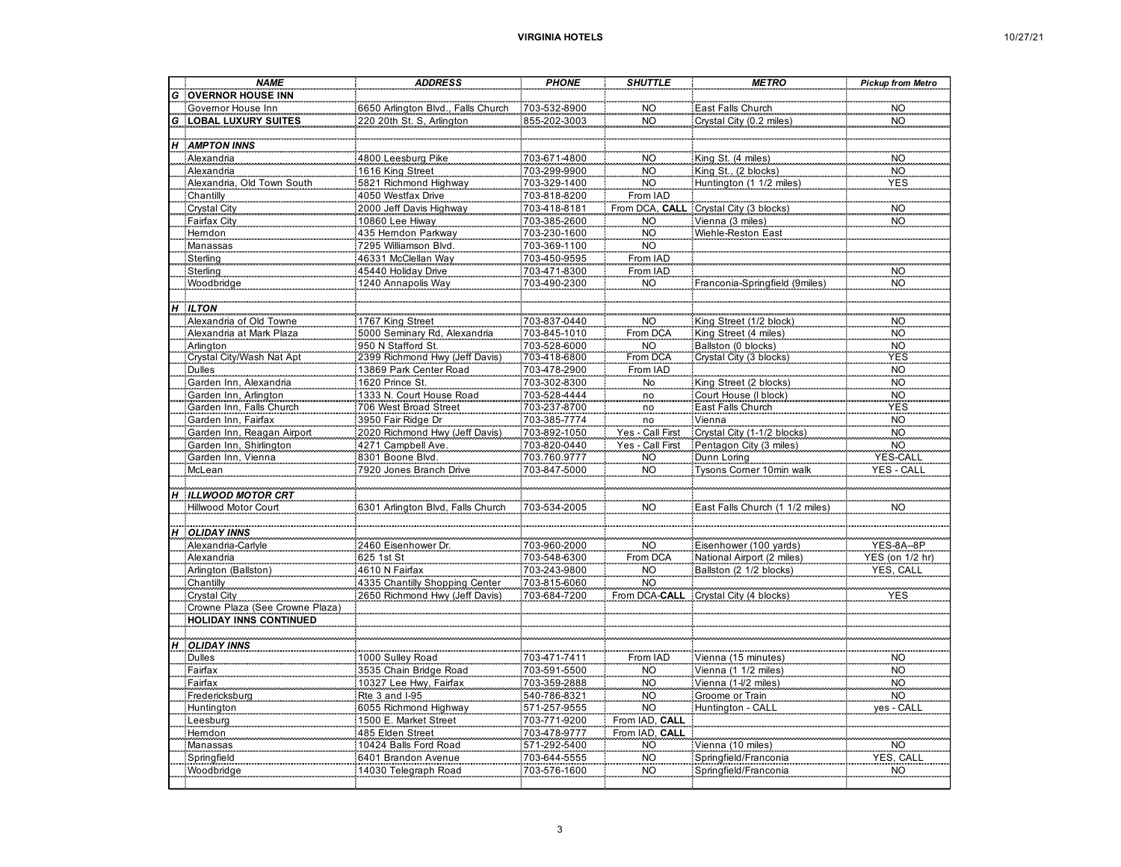| 10/27/21 |  |
|----------|--|
|----------|--|

|                  | <b>NAME</b>                                  | <b>ADDRESS</b>                                       | <b>PHONE</b> | <b>SHUTTLE</b>   | <b>METRO</b>                           | <b>Pickup from Metro</b> |
|------------------|----------------------------------------------|------------------------------------------------------|--------------|------------------|----------------------------------------|--------------------------|
| G                | <b>OVERNOR HOUSE INN</b>                     |                                                      |              |                  |                                        |                          |
|                  | Governor House Inn                           | 6650 Arlington Blvd., Falls Church                   | 703-532-8900 | <b>NO</b>        | East Falls Church                      | <b>NO</b>                |
| G                | <b>LOBAL LUXURY SUITES</b>                   | 220 20th St. S, Arlington                            | 855-202-3003 | NO <sub>1</sub>  | Crystal City (0.2 miles                | NO <sub>1</sub>          |
|                  |                                              |                                                      |              |                  |                                        |                          |
|                  | <b>H</b> AMPTON INNS                         |                                                      |              |                  |                                        |                          |
|                  | Alexandria                                   | 4800 Leesburg Pike                                   | 703-671-4800 | <b>NO</b>        | King St. (4 miles)                     | <b>NO</b>                |
|                  | Alexandria                                   | 1616 King Street                                     | 703-299-9900 | <b>NO</b>        | King St., (2 blocks)                   | <b>NO</b>                |
|                  | Alexandria, Old Town South                   | 5821 Richmond Highway                                | 703-329-1400 | <b>NO</b>        | Huntington (1 1/2 miles)               | <b>YES</b>               |
|                  | Chantilly                                    | 4050 Westfax Drive                                   | 703-818-8200 | From IAD         |                                        |                          |
|                  | Crystal City                                 | 2000 Jeff Davis Highway                              | 703-418-8181 |                  | From DCA, CALL Crystal City (3 blocks) | NO<br>NO                 |
|                  | Fairfax City                                 | 10860 Lee Hiway                                      | 703-385-2600 | <b>NO</b>        | Vienna (3 miles)                       |                          |
|                  | <b>Hemdon</b>                                | 435 Hemdon Parkway                                   | 703-230-1600 | <b>NO</b>        | Wiehle-Reston East                     |                          |
|                  | Manassas                                     | 7295 Williamson Blvd.                                | 703-369-1100 | <b>NO</b>        |                                        |                          |
|                  | Sterling                                     | 46331 McClellan Way                                  | 703-450-9595 | From IAD         |                                        |                          |
|                  | Sterling                                     | 45440 Holiday Drive                                  | 703-471-8300 | From IAD         |                                        | <b>NO</b>                |
|                  | Woodbridge                                   | 1240 Annapolis Way                                   | 703-490-2300 | NO               | Franconia-Springfield (9miles          | <b>NO</b>                |
|                  |                                              |                                                      |              |                  |                                        |                          |
| $\boldsymbol{H}$ | <b>ILTON</b>                                 |                                                      |              |                  |                                        |                          |
|                  | Alexandria of Old Towne                      | 1767 King Street                                     | 703-837-0440 | <b>NO</b>        | King Street (1/2 block)                | <b>NO</b>                |
|                  | Alexandria at Mark Plaza                     | 5000 Seminary Rd, Alexandria                         | 703-845-1010 | From DCA         | King Street (4 miles)                  | <b>NO</b>                |
|                  |                                              | 950 N Stafford St.<br>2399 Richmond Hwy (Jeff Davis) | 703-528-6000 | NO <sub>1</sub>  | Ballston (0 blocks)                    |                          |
|                  | .<br>Arlington<br>.Crystal City/Wash Nat Apt |                                                      | 703-418-6800 | From DCA         | Crystal City (3 blocks)                | NO<br>YES                |
|                  | <b>Dulles</b>                                | 13869 Park Center Road                               | 703-478-2900 | From IAD         |                                        | <b>NO</b>                |
|                  | Garden Inn, Alexandria                       | 1620 Prince St.                                      | 703-302-8300 | N <sub>o</sub>   | King Street (2 blocks)                 | <b>NO</b>                |
|                  | Garden Inn, Arlington                        | 1333 N. Court House Road                             | 703-528-4444 | no               | Court House (I block)                  | <b>NO</b>                |
|                  | Garden Inn, Falls Church                     | 706 West Broad Street                                | 703-237-8700 | no               | East Falls Church                      | <b>YES</b>               |
|                  | Garden Inn, Fairfax                          | 3950 Fair Ridge Dr                                   | 703-385-7774 | no               | Vienna                                 | <b>NO</b>                |
|                  | Garden Inn, Reagan Airport                   | 2020 Richmond Hwy (Jeff Davis)                       | 703-892-1050 | Yes - Call First | Crystal City (1-1/2 blocks)            | <b>NO</b>                |
|                  | Garden Inn, Shirlington                      | 4271 Campbell Ave.                                   | 703-820-0440 | Yes - Call First | Pentagon City (3 miles)                | <b>NO</b>                |
|                  | Garden Inn, Vienna                           | 8301 Boone Blvd.                                     | 703.760.9777 | <b>NO</b>        | Dunn Loring                            | <b>YES-CALI</b>          |
|                  | McLean                                       | 7920 Jones Branch Drive                              | 703-847-5000 | <b>NO</b>        | Tysons Corner 10min walk               | YES - CALL               |
|                  |                                              |                                                      |              |                  |                                        |                          |
| $\boldsymbol{H}$ | <b>ILLWOOD MOTOR CRT</b>                     |                                                      |              |                  |                                        |                          |
|                  | Hillwood Motor Court                         | 6301 Arlington Blvd, Falls Church                    | 703-534-2005 | <b>NO</b>        | East Falls Church (1 1/2 miles)        | <b>NO</b>                |
|                  |                                              |                                                      |              |                  |                                        |                          |
| H                | <b>OLIDAY INNS</b>                           |                                                      |              |                  |                                        |                          |
|                  | Alexandria-Carlyle                           | 2460 Eisenhower Dr.                                  | 703-960-2000 | <b>NO</b>        | Eisenhower (100 yards)                 | YES-8A--8P               |
|                  | Alexandria                                   | 625 1st St                                           | 703-548-6300 | From DCA         | National Airport (2 miles)             | YES (on 1/2 hr)          |
|                  | Arlington (Ballston)                         | 4610 N Fairfax                                       | 703-243-9800 | <b>NO</b>        | Ballston (2 1/2 blocks)                | YES, CALL                |
|                  | Chantilly                                    | 4335 Chantilly Shopping Center                       | 703-815-6060 | <b>NO</b>        |                                        |                          |
|                  | Crystal City                                 | 2650 Richmond Hwy (Jeff Davis)                       | 703-684-7200 | From DCA-CALL    | Crystal City (4 blocks)                | <b>YES</b>               |
|                  | Crowne Plaza (See Crowne Plaza)              |                                                      |              |                  |                                        |                          |
|                  | <b>HOLIDAY INNS CONTINUED</b>                |                                                      |              |                  |                                        |                          |
|                  |                                              |                                                      |              |                  |                                        |                          |
| H                | <b>OLIDAY INNS</b>                           |                                                      |              |                  |                                        |                          |
|                  | <b>Dulles</b>                                | 1000 Sulley Road                                     | 703-471-7411 | From IAD         | Vienna (15 minutes)                    | <b>NO</b>                |
|                  | Fairfax                                      | 3535 Chain Bridge Road                               | 703-591-5500 | <b>NO</b>        | Vienna (1 1/2 miles)                   | <b>NO</b>                |
|                  | Fairfax                                      | 10327 Lee Hwy, Fairfax                               | 703-359-2888 | <b>NO</b>        | Vienna (1-l/2 miles)                   | <b>NO</b>                |
|                  | Fredericksburg                               | Rte 3 and I-95                                       | 540-786-8321 | <b>NO</b>        | Groome or Train                        | <b>NO</b>                |
|                  | Huntington                                   | 6055 Richmond Highway                                | 571-257-9555 | <b>NO</b>        | Huntington - CALL                      | yes - CALL               |
|                  | Leesburg                                     | 1500 E. Market Street                                | 703-771-9200 | From IAD. CALL   |                                        |                          |
|                  | Hemdon                                       | 485 Elden Street                                     | 703-478-9777 | From IAD, CALL   |                                        |                          |
|                  | Manassas                                     | 10424 Balls Ford Road                                | 571-292-5400 | <b>NO</b>        | Vienna (10 miles)                      | <b>NO</b>                |
|                  | Springfield                                  | 6401 Brandon Avenue                                  | 703-644-5555 | <b>NO</b>        | Springfield/Franconia                  | YES, CALL                |
|                  | Woodbridge                                   | 14030 Telegraph Road                                 | 703-576-1600 | <b>NO</b>        | Springfield/Franconia                  | NO.                      |
|                  |                                              |                                                      |              |                  |                                        |                          |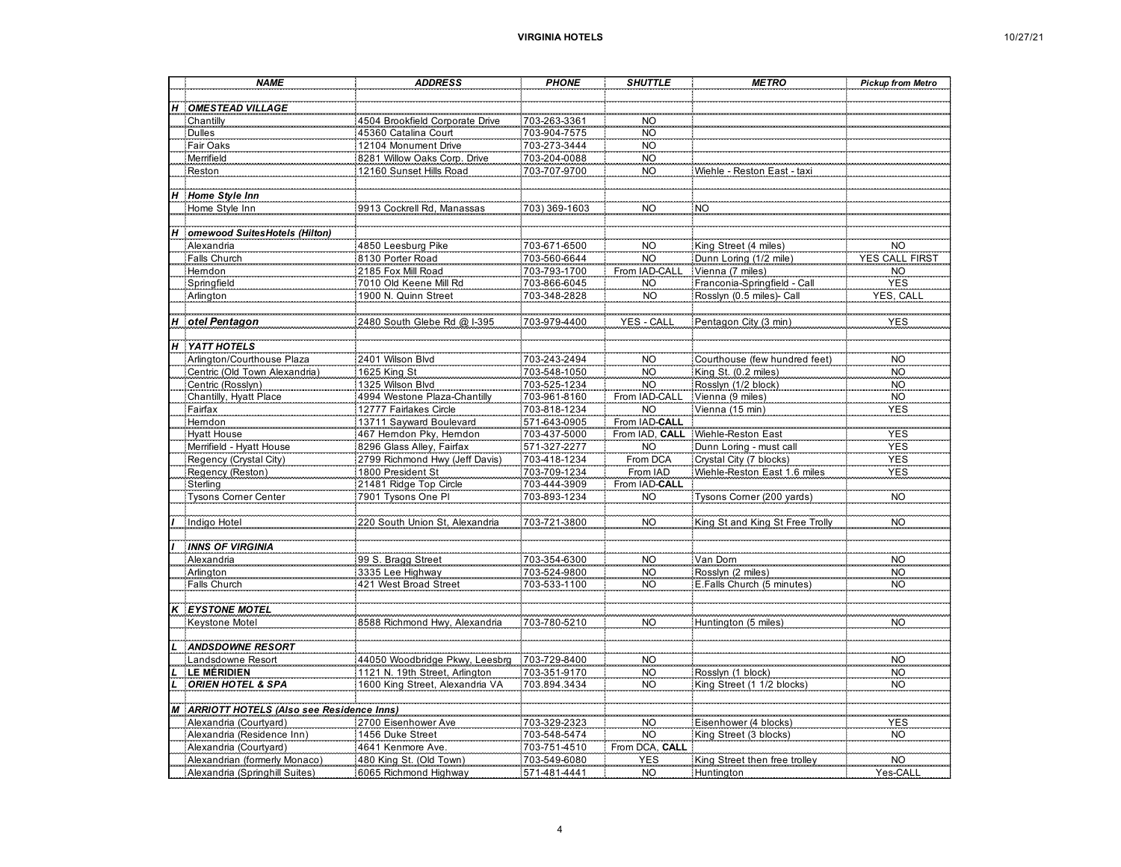| 10/27/21 |  |
|----------|--|
|----------|--|

|                           | <b>NAME</b>                                | <b>ADDRESS</b>                  | <b>PHONE</b>  | <b>SHUTTLE</b>  | <b>METRO</b>                      | <b>Pickup from Metro</b> |
|---------------------------|--------------------------------------------|---------------------------------|---------------|-----------------|-----------------------------------|--------------------------|
|                           |                                            |                                 |               |                 |                                   |                          |
| $\boldsymbol{\mathsf{H}}$ | <b>OMESTEAD VILLAGE</b>                    |                                 |               |                 |                                   |                          |
|                           | Chantilly                                  | 4504 Brookfield Corporate Drive | 703-263-3361  | <b>NO</b>       |                                   |                          |
|                           | <b>Dulles</b>                              | 45360 Catalina Court            | 703-904-7575  | <b>NO</b>       |                                   |                          |
|                           | Fair Oaks                                  | 12104 Monument Drive            | 703-273-3444  | <b>NO</b>       |                                   |                          |
|                           | Merrifield                                 | 8281 Willow Oaks Corp. Drive    | 703-204-0088  | <b>NO</b>       |                                   |                          |
|                           | Reston                                     | 12160 Sunset Hills Road         | 703-707-9700  | <b>NO</b>       | Wiehle - Reston East - taxi       |                          |
|                           |                                            |                                 |               |                 |                                   |                          |
| $\boldsymbol{H}$          | Home Style Inn                             |                                 |               |                 |                                   |                          |
|                           | Home Style Inn                             | 9913 Cockrell Rd, Manassa       | 703) 369-1603 | <b>NO</b>       | NO <sub>.</sub>                   |                          |
|                           |                                            |                                 |               |                 |                                   |                          |
| н                         | omewood Suites Hotels (Hilton)             |                                 |               |                 |                                   |                          |
|                           | Alexandria                                 | 4850 Leesburg Pike              | 703-671-6500  | <b>NO</b>       | King Street (4 miles)             | NO                       |
|                           | Falls Church                               | 8130 Porter Road                | 703-560-6644  | <b>NO</b>       | Dunn Loring (1/2 mile)            | <b>YES CALL FIRST</b>    |
|                           | Hemdon                                     | 2185 Fox Mill Road              | 703-793-1700  | From IAD-CALL   | Vienna (7 miles)                  | $\rm NO$                 |
|                           | Springfield                                | 7010 Old Keene Mill Rd          | 703-866-6045  | <b>NO</b>       | Franconia-Springfield - Call      | <b>YES</b>               |
|                           | Arlington                                  | 1900 N. Quinn Street            | 703-348-2828  | <b>NO</b>       | Rosslyn (0.5 miles)- Call         | YES, CALI                |
|                           |                                            |                                 |               |                 |                                   |                          |
| Н                         | otel Pentagon                              | 2480 South Glebe Rd @ I-395     | 703-979-4400  | YES - CALL      | Pentagon City (3 min)             | YES                      |
|                           |                                            |                                 |               |                 |                                   |                          |
|                           | H YATT HOTELS                              |                                 |               |                 |                                   |                          |
|                           | Arlington/Courthouse Plaza                 | 2401 Wilson Blvd                | 703-243-2494  | <b>NO</b>       | Courthouse (few hundred feet)     | <b>NO</b>                |
|                           | Centric (Old Town Alexandria)              | 1625 King St                    | 703-548-1050  | <b>NO</b>       | King St. (0.2 miles)              | <b>NO</b>                |
|                           | Centric (Rosslyn)                          | 1325 Wilson Blvd                | 703-525-1234  | <b>NO</b>       | Rosslyn (1/2 block)               | <b>NO</b>                |
|                           | Chantilly, Hyatt Place                     | 4994 Westone Plaza-Chantilly    | 703-961-8160  | From IAD-CALL   | Vienna (9 miles)                  | <b>NO</b>                |
|                           | Fairfax                                    | 12777 Fairlakes Circle          | 703-818-1234  | <b>NO</b>       | Vienna (15 min)                   | <b>YES</b>               |
|                           | Hemdon                                     | 13711 Sayward Boulevard         | 571-643-0905  | From IAD-CALL   |                                   |                          |
|                           | <b>Hyatt House</b>                         | 467 Hemdon Pky, Hemdon          | 703-437-5000  |                 | From IAD, CALL Wiehle-Reston East | <b>YES</b>               |
|                           | Merrifield - Hyatt House                   | 8296 Glass Alley, Fairfax       | 571-327-2277  | <b>NO</b>       | Dunn Loring - must call           | <b>YES</b>               |
|                           | Regency (Crystal City)                     | 2799 Richmond Hwy (Jeff Davis)  | 703-418-1234  | From DCA        | Crystal City (7 blocks)           | <b>YES</b>               |
|                           | Regency (Reston)                           | 1800 President St               | 703-709-1234  | From IAD        | Wiehle-Reston East 1.6 miles      | <b>YES</b>               |
|                           | Sterling                                   | 21481 Ridge Top Circle          | 703-444-3909  | From IAD-CALL   |                                   |                          |
|                           | <b>Tysons Corner Center</b>                | 7901 Tysons One PI              | 703-893-1234  | <b>NO</b>       | Tysons Corner (200 yards)         | NO <sub>.</sub>          |
|                           |                                            |                                 |               |                 |                                   |                          |
|                           | Indigo Hotel                               | 220 South Union St, Alexandria  | 703-721-3800  | <b>NO</b>       | King St and King St Free Trolly   | N <sub>O</sub>           |
|                           |                                            |                                 |               |                 |                                   |                          |
|                           | <b>INNS OF VIRGINIA</b>                    |                                 |               |                 |                                   |                          |
|                           | Alexandria                                 | 99 S. Bragg Street              | 703-354-6300  | <b>NO</b>       | Van Dom                           | <b>NO</b>                |
|                           | Arlington                                  | 3335 Lee Highway                | 703-524-9800  | <b>NO</b>       | Rosslyn (2 miles)                 | <b>NO</b>                |
|                           | Falls Church                               | 421 West Broad Street           | 703-533-1100  | <b>NO</b>       | E.Falls Church (5 minutes)        | <b>NO</b>                |
|                           |                                            |                                 |               |                 |                                   |                          |
| $\kappa$                  | <b>EYSTONE MOTEL</b>                       |                                 |               |                 |                                   |                          |
|                           | Keystone Motel                             | 8588 Richmond Hwy, Alexandria   | 703-780-5210  | <b>NO</b>       | Huntington (5 miles)              | <b>NO</b>                |
|                           |                                            |                                 |               |                 |                                   |                          |
|                           | <b>ANDSDOWNE RESORT</b>                    |                                 |               |                 |                                   |                          |
|                           | Landsdowne Resort                          | 44050 Woodbridge Pkwy, Leesbrg  | 703-729-8400  | NO <sub>1</sub> |                                   | <b>NO</b>                |
|                           | <b>LE MÉRIDIEN</b>                         | 1121 N. 19th Street, Arlington  | 703-351-9170  | <b>NO</b>       | Rosslyn (1 block)                 | <b>NO</b>                |
|                           | <b>ORIEN HOTEL &amp; SPA</b>               | 1600 King Street, Alexandria VA | 703.894.3434  | <b>NO</b>       | King Street (1 1/2 blocks)        | <b>NO</b>                |
|                           |                                            |                                 |               |                 |                                   |                          |
|                           | M ARRIOTT HOTELS (Also see Residence Inns) |                                 |               |                 |                                   |                          |
|                           | Alexandria (Courtyard)                     | 2700 Eisenhower Ave             | 703-329-2323  | <b>NO</b>       | Eisenhower (4 blocks)             | <b>YES</b>               |
|                           | Alexandria (Residence Inn)                 | 1456 Duke Street                | 703-548-5474  | <b>NO</b>       | King Street (3 blocks)            | NO <sub>-</sub>          |
|                           | Alexandria (Courtyard)                     | 4641 Kenmore Ave.               | 703-751-4510  | From DCA, CALL  |                                   |                          |
|                           | Alexandrian (formerly Monaco)              | 480 King St. (Old Town)         | 703-549-6080  | <b>YES</b>      | King Street then free trolley     | <b>NO</b>                |
|                           | Alexandria (Springhill Suites)             | 6065 Richmond Highway           | 571-481-4441  | <b>NO</b>       | Huntington                        | Yes-CALI                 |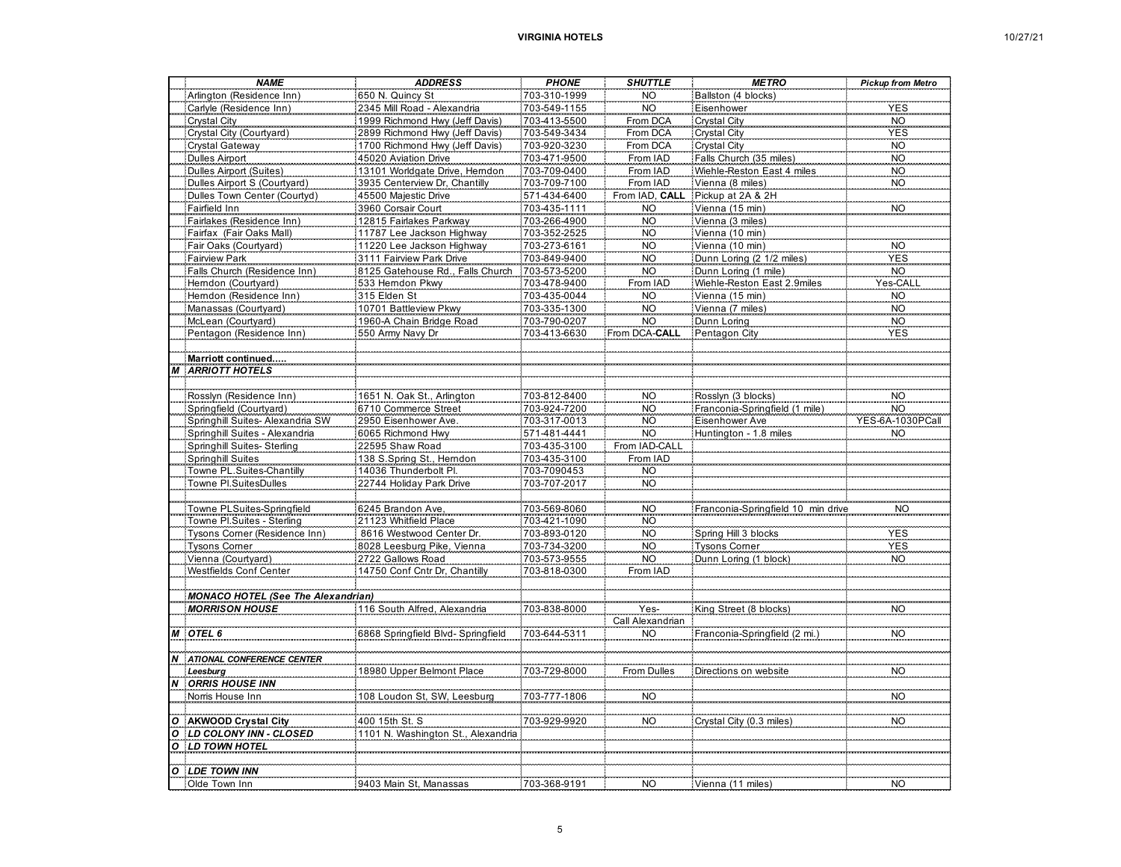|  | 10/27/21 |
|--|----------|
|--|----------|

|                  | <b>NAME</b>                                     | <b>ADDRESS</b>                        | <b>PHONE</b>                 | <b>SHUTTLE</b>         | <b>METRO</b>                        | <b>Pickup from Metro</b> |
|------------------|-------------------------------------------------|---------------------------------------|------------------------------|------------------------|-------------------------------------|--------------------------|
|                  | Arlington (Residence Inn)                       | 650 N. Quincy St                      | 703-310-1999                 | <b>NO</b>              | Ballston (4 blocks)                 |                          |
|                  | Carlyle (Residence Inn)                         | 2345 Mill Road - Alexandria           | 703-549-1155                 | <b>NO</b>              | Eisenhower                          | <b>YES</b>               |
|                  | Crystal City                                    | 1999 Richmond Hwy (Jeff Davis)        | 703-413-5500                 | From DCA               | <b>Crystal City</b>                 | <b>NO</b>                |
|                  | Crystal City (Courtyard)                        | 2899 Richmond Hwy (Jeff Davis)        | 703-549-3434                 | From DCA               | Crystal City                        | <b>YES</b>               |
|                  | Crystal Gateway                                 | 1700 Richmond Hwy (Jeff Davis)        | 703-920-3230                 | From DCA               | Crystal City                        | <b>NO</b>                |
|                  | <b>Dulles Airport</b>                           | 45020 Aviation Drive                  | 703-471-9500                 | From IAD               | Falls Church (35 miles)             | <b>NO</b>                |
|                  | <b>Dulles Airport (Suites)</b>                  | 13101 Worldgate Drive, Herndon        | 703-709-0400                 | From IAD               | Wiehle-Reston East 4 miles          | <b>NO</b>                |
|                  | Dulles Airport S (Courtyard)                    | 3935 Centerview Dr, Chantilly         | 703-709-7100                 | From IAD               | Vienna (8 miles)                    | <b>NO</b>                |
|                  | Dulles Town Center (Courtyd)                    | 45500 Majestic Drive                  | 571-434-6400                 | From IAD, CALI         | Pickup at 2A & 2H                   |                          |
|                  | Fairfield Inn                                   | 3960 Corsair Court                    | 703-435-1111                 | <b>NO</b>              | Vienna (15 min)                     | <b>NO</b>                |
|                  | Fairlakes (Residence Inn)                       | 12815 Fairlakes Parkway               | 703-266-4900                 | <b>NO</b>              | Vienna (3 miles)                    |                          |
|                  | Fairfax (Fair Oaks Mall)                        | 11787 Lee Jackson Highway             | 703-352-2525                 | <b>NO</b>              | Vienna (10 min)                     |                          |
|                  | Fair Oaks (Courtyard)                           | :11220 Lee Jackson Highway            | 703-273-6161                 | <b>NO</b>              | Vienna (10 min)                     | <b>NO</b>                |
|                  | <b>Fairview Park</b>                            | 3111 Fairview Park Drive              | 703-849-9400                 | <b>NO</b>              | Dunn Loring (2 1/2 miles)           | <b>YES</b>               |
|                  | Falls Church (Residence Inn)                    | 8125 Gatehouse Rd., Falls Church      | 703-573-5200                 | <b>NO</b>              | Dunn Loring (1 mile)                | <b>NO</b><br>es-CAL      |
|                  | Hemdon (Courtyard)                              | 533 Hemdon Pkwy                       | 703-478-9400                 | From IAD               |                                     |                          |
|                  | Herndon (Residence Inn)<br>Manassas (Courtyard) | 315 Elden St<br>10701 Battleview Pkwy | 703-435-0044<br>703-335-1300 | <b>NO</b><br><b>NO</b> | Vienna (15 min)<br>Vienna (7 miles) | <b>NO</b><br><b>NO</b>   |
|                  | McLean (Courtyard)                              | 1960-A Chain Bridge Road              | 703-790-0207                 | <b>NO</b>              | Dunn Loring                         | <b>NO</b>                |
|                  | Pentagon (Residence Inn)                        | 550 Army Navy Dr                      | 703-413-6630                 | From DCA-CALL          | Pentagon City                       | <b>YES</b>               |
|                  |                                                 |                                       |                              |                        |                                     |                          |
|                  | Marriott continued.                             |                                       |                              |                        |                                     |                          |
| M                | <b>ARRIOTT HOTELS</b>                           |                                       |                              |                        |                                     |                          |
|                  |                                                 |                                       |                              |                        |                                     |                          |
|                  | Rosslyn (Residence Inn)                         | 1651 N. Oak St., Arlington            | 703-812-8400                 | <b>NO</b>              | Rosslyn (3 blocks)                  | <b>NO</b>                |
|                  | Springfield (Courtyard)                         | 6710 Commerce Street                  | 703-924-7200                 | <b>NO</b>              | Franconia-Springfield (1 mile)      | <b>NO</b>                |
|                  | Springhill Suites- Alexandria SW                | 2950 Eisenhower Ave.                  | 703-317-0013                 | <b>NO</b>              | Eisenhower Ave                      | YES-6A-1030PCall         |
|                  | Springhill Suites - Alexandria                  | 6065 Richmond Hwy                     | 571-481-4441                 | <b>NO</b>              | Huntington - 1.8 miles              | <b>NO</b>                |
|                  | Springhill Suites-Sterling                      | 22595 Shaw Road                       | 703-435-3100                 | From IAD-CALL          |                                     |                          |
|                  | Springhill Suites                               | 138 S.Spring St., Herndon             | 703-435-3100                 | From IAD               |                                     |                          |
|                  | Towne PL.Suites-Chantilly                       | 14036 Thunderbolt Pl.                 | 703-7090453                  | <b>NO</b>              |                                     |                          |
|                  | Towne Pl.SuitesDulles                           | 22744 Holiday Park Drive              | 703-707-2017                 | <b>NO</b>              |                                     |                          |
|                  |                                                 |                                       |                              |                        |                                     |                          |
|                  | Towne PLSuites-Springfield                      | 6245 Brandon Ave                      | 703-569-8060                 | NO <sub>1</sub>        | Franconia-Springfield 10 min drive  | <b>NO</b>                |
|                  | Towne Pl.Suites - Sterling                      | 21123 Whitfield Place                 | 703-421-1090                 | <b>NO</b>              |                                     |                          |
|                  | Tysons Corner (Residence Inn)                   | 8616 Westwood Center Dr.              | 703-893-0120                 | <b>NO</b>              | Spring Hill 3 blocks                | <b>YES</b>               |
|                  | <b>Tysons Comer</b>                             | 8028 Leesburg Pike, Vienna            | 703-734-3200                 | <b>NO</b>              | <b>Tysons Comer</b>                 | <b>YES</b>               |
|                  | Vienna (Courtyard)                              | 2722 Gallows Road                     | 703-573-9555                 | <b>NO</b>              | Dunn Loring (1 block)               | <b>NO</b>                |
|                  | Westfields Conf Center                          | :14750 Conf Cntr Dr, Chantilly        | 703-818-0300                 | From IAD               |                                     |                          |
|                  |                                                 |                                       |                              |                        |                                     |                          |
|                  | <b>MONACO HOTEL (See The Alexandrian)</b>       |                                       |                              |                        |                                     |                          |
|                  | <b>MORRISON HOUSE</b>                           | 116 South Alfred, Alexandria          | 703-838-8000                 | Yes-                   | King Street (8 blocks)              | <b>NO</b>                |
|                  |                                                 |                                       |                              | Call Alexandrian       |                                     |                          |
| $\overline{M}$   | OTEL 6                                          | 6868 Springfield Blvd-Springfield     | 703-644-5311                 | <b>NO</b>              | Franconia-Springfield (2 mi.)       | NO <sub>1</sub>          |
|                  |                                                 |                                       |                              |                        |                                     |                          |
| $\boldsymbol{N}$ | ATIONAL CONFERENCE CENTER                       |                                       |                              |                        |                                     | NO <sub>1</sub>          |
|                  | Leesburg<br><b>ORRIS HOUSE INN</b>              | 18980 Upper Belmont Place             | 703-729-8000                 | From Dulles            | Directions on website               |                          |
| $\boldsymbol{N}$ | Norris House Inn                                | 108 Loudon St, SW, Leesburg           | 703-777-1806                 | <b>NO</b>              |                                     | <b>NO</b>                |
|                  |                                                 |                                       |                              |                        |                                     |                          |
| $\boldsymbol{o}$ | AKWOOD Crystal City                             | 400 15th St. S                        | 703-929-9920                 | <b>NO</b>              | Crystal City (0.3 miles)            | <b>NO</b>                |
| $\boldsymbol{o}$ | LD COLONY INN - CLOSED                          | 1101 N. Washington St.<br>Alexandria  |                              |                        |                                     |                          |
| 0                | LD TOWN HOTEL                                   |                                       |                              |                        |                                     |                          |
|                  |                                                 |                                       |                              |                        |                                     |                          |
| $\boldsymbol{o}$ | <b>LDE TOWN INN</b>                             |                                       |                              |                        |                                     |                          |
|                  | Olde Town Inn                                   | 9403 Main St, Manassas                | 703-368-9191                 | <b>NO</b>              | Vienna (11 miles)                   | <b>NO</b>                |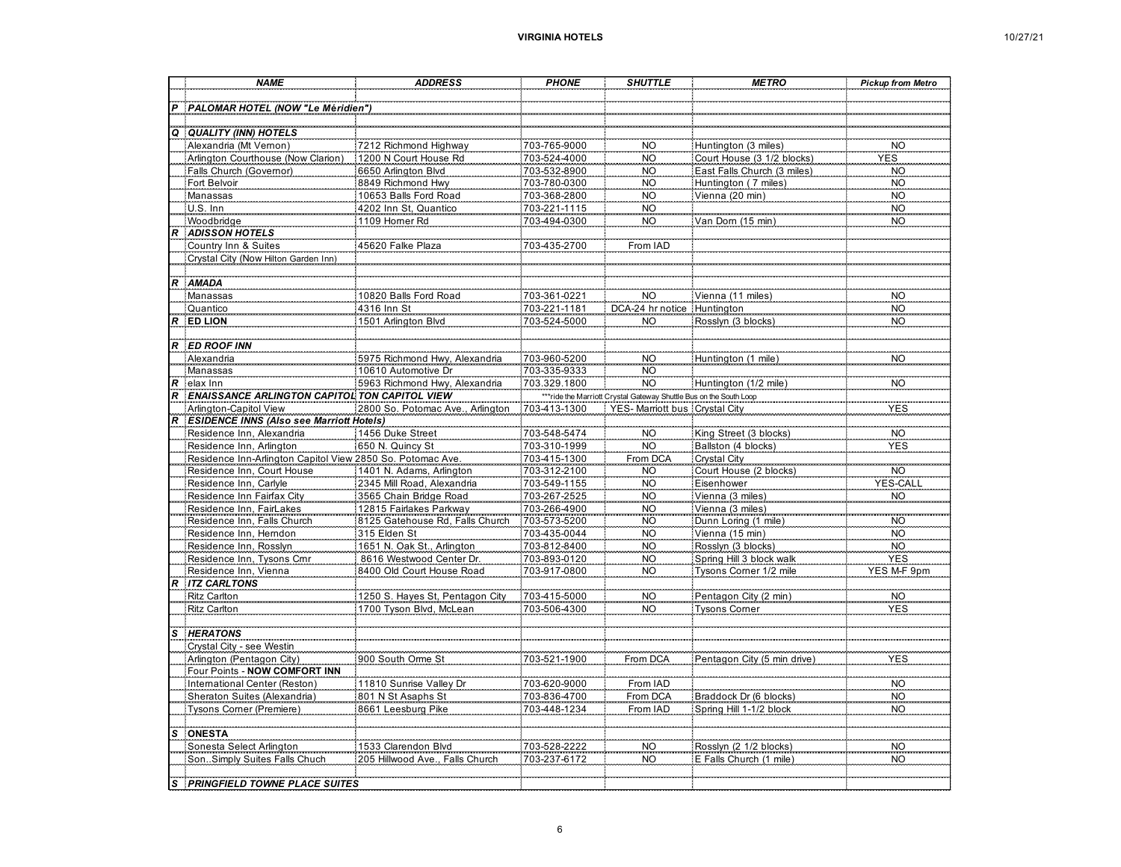|  | 10/27/2 |  | 1 |
|--|---------|--|---|
|--|---------|--|---|

|                  | <b>NAME</b>                                                    | <b>ADDRESS</b>                                             | <b>PHONE</b>                 | <b>SHUTTLE</b>                                                      | <b>METRO</b>                             | <b>Pickup from Metro</b> |
|------------------|----------------------------------------------------------------|------------------------------------------------------------|------------------------------|---------------------------------------------------------------------|------------------------------------------|--------------------------|
|                  |                                                                |                                                            |                              |                                                                     |                                          |                          |
| $\boldsymbol{P}$ | PALOMAR HOTEL (NOW "Le Méridien")                              |                                                            |                              |                                                                     |                                          |                          |
| Q                | <b>QUALITY (INN) HOTELS</b>                                    |                                                            |                              |                                                                     |                                          |                          |
|                  | Alexandria (Mt Vernon)                                         | 7212 Richmond Highway                                      | 703-765-9000                 | <b>NO</b>                                                           | Huntington (3 miles)                     | NO                       |
|                  | Arlington Courthouse (Now Clarion)                             | 1200 N Court House Rd                                      | 703-524-4000                 | <b>NO</b>                                                           | Court House (3 1/2 blocks)               | <b>YES</b>               |
|                  | Falls Church (Governor)                                        | 6650 Arlington Blvd                                        | 703-532-8900                 | <b>NO</b>                                                           | East Falls Church (3 miles)              | <b>NO</b>                |
|                  | Fort Belvoir                                                   | 8849 Richmond Hwy                                          | 703-780-0300                 | <b>NO</b>                                                           | Huntington (7 miles)                     | <b>NO</b>                |
|                  | Manassas                                                       | 10653 Balls Ford Road                                      | 703-368-2800                 | <b>NO</b>                                                           | Vienna (20 min)                          | NO.                      |
|                  | U.S. Inn                                                       | 4202 Inn St, Quantico                                      | 703-221-1115                 | $_{\rm NO}$                                                         |                                          | $\rm NO$                 |
|                  | Woodbridge                                                     | 1109 Homer Rd                                              | 703-494-0300                 | <b>NO</b>                                                           | Van Dom (15 min)                         | NO <sub>1</sub>          |
| R                | <b>ADISSON HOTELS</b>                                          |                                                            |                              |                                                                     |                                          |                          |
|                  | Country Inn & Suites                                           | 45620 Falke Plaza                                          | 703-435-2700                 | From IAD                                                            |                                          |                          |
|                  | Crystal City (Now Hilton Garden Inn)                           |                                                            |                              |                                                                     |                                          |                          |
|                  |                                                                |                                                            |                              |                                                                     |                                          |                          |
| $\boldsymbol{R}$ | <b>AMADA</b>                                                   |                                                            |                              |                                                                     |                                          |                          |
|                  | Manassas<br>Quantico                                           | 10820 Balls Ford Road                                      | 703-361-0221                 | <b>NO</b>                                                           | Vienna (11 miles)                        | <b>NO</b>                |
|                  | $R$ ED LION                                                    | 4316 Inn St<br>1501 Arlington Blvd                         | 703-221-1181<br>703-524-5000 | DCA-24 hr notice<br><b>NO</b>                                       | Huntington<br>Rosslyn (3 blocks)         | NO<br><b>NO</b>          |
|                  |                                                                |                                                            |                              |                                                                     |                                          |                          |
|                  | <b>R</b> ED ROOF INN                                           |                                                            |                              |                                                                     |                                          |                          |
|                  | Alexandria                                                     | 5975 Richmond Hwy, Alexandria                              | 703-960-5200                 | <b>NO</b>                                                           | Huntington (1 mile)                      | <b>NO</b>                |
|                  | Manassas                                                       | :10610 Automotive Dr                                       | 703-335-9333                 | <b>NO</b>                                                           |                                          |                          |
| $\boldsymbol{R}$ | elax Inn                                                       | 5963 Richmond Hwy, Alexandria                              | 703.329.1800                 | <b>NO</b>                                                           | Huntington (1/2 mile)                    | <b>NO</b>                |
| $\boldsymbol{R}$ | <b>ENAISSANCE ARLINGTON CAPITOL TON CAPITOL VIEW</b>           |                                                            |                              | *** ride the Marriott Crystal Gateway Shuttle Bus on the South Loop |                                          |                          |
|                  | Arlington-Capitol View                                         | 2800 So. Potomac Ave., Arlington                           | 703-413-1300                 | YES-Marriott bus Crystal City                                       |                                          | <b>YES</b>               |
| $\overline{R}$   | <b>ESIDENCE INNS (Also see Marriott Hotels)</b>                |                                                            |                              |                                                                     |                                          |                          |
|                  | Residence Inn, Alexandria                                      | 1456 Duke Street                                           | 703-548-5474                 | <b>NO</b>                                                           | King Street (3 blocks)                   | NO <sub>.</sub>          |
|                  | Residence Inn, Arlington                                       | 650 N. Quincy St                                           | 703-310-1999                 | <b>NO</b>                                                           | Ballston (4 blocks)                      | YES                      |
|                  | Residence Inn-Arlington Capitol View 2850 So. Potomac Ave.     |                                                            | 703-415-1300                 | From DCA                                                            | <b>Crystal City</b>                      |                          |
|                  | Residence Inn, Court House                                     | 1401 N. Adams, Arlington                                   | 703-312-2100                 | <b>NO</b>                                                           | Court House (2 blocks)                   | <b>NO</b>                |
|                  | Residence Inn, Carlyle                                         | :2345 Mill Road, Alexandria                                | 703-549-1155                 | <b>NO</b>                                                           | Eisenhower                               | <b>YES-CAL</b>           |
|                  | Residence Inn Fairfax City                                     | 3565 Chain Bridge Road                                     | 703-267-2525<br>703-266-4900 | <b>NO</b>                                                           | Vienna (3 miles)                         | NO <sub>1</sub>          |
|                  | Residence Inn, FairLakes<br>Residence Inn, Falls Church        | 12815 Fairlakes Parkway<br>8125 Gatehouse Rd, Falls Church | 703-573-5200                 | NO <sub>1</sub><br><b>NO</b>                                        | Vienna (3 miles)<br>Dunn Loring (1 mile) | <b>NO</b>                |
|                  | Residence Inn, Hemdon                                          | 315 Elden St                                               | 703-435-0044                 | <b>NO</b>                                                           | Vienna (15 min)                          | <b>NO</b>                |
|                  | Residence Inn, Rosslyn                                         | 1651 N. Oak St., Arlington                                 | 703-812-8400                 | <b>NO</b>                                                           | Rosslyn (3 blocks)                       | <b>NO</b>                |
|                  | Residence Inn, Tysons Crnr                                     | 8616 Westwood Center Dr.                                   | 703-893-0120                 | <b>NO</b>                                                           | Spring Hill 3 block walk                 | YES                      |
|                  | Residence Inn, Vienna                                          | 8400 Old Court House Road                                  | 703-917-0800                 | <b>NO</b>                                                           | Tysons Corner 1/2 mile                   | YES M-F 9p               |
|                  | <b>ITZ CARLTONS</b>                                            |                                                            |                              |                                                                     |                                          |                          |
|                  | <b>Ritz Carlton</b>                                            | 1250 S. Hayes St, Pentagon City                            | 703-415-5000                 | NO <sub>.</sub>                                                     | Pentagon City (2 min)                    | $\sf NO$                 |
|                  | <b>Ritz Carlton</b>                                            | 1700 Tyson Blvd, McLean                                    | 703-506-4300                 | <b>NO</b>                                                           | <b>Tysons Comer</b>                      | <b>YES</b>               |
|                  |                                                                |                                                            |                              |                                                                     |                                          |                          |
|                  | <b>HERATONS</b>                                                |                                                            |                              |                                                                     |                                          |                          |
|                  | Crystal City - see Westin                                      |                                                            |                              |                                                                     |                                          |                          |
|                  | Arlington (Pentagon City)                                      | 900 South Orme St                                          | 703-521-1900                 | From DCA                                                            | Pentagon City (5 min drive)              | YES                      |
|                  | Four Points - NOW COMFORT INN<br>International Center (Reston) | 11810 Sunrise Valley Dr                                    |                              | From IAD                                                            |                                          |                          |
|                  | Sheraton Suites (Alexandria)                                   | 801 N St Asaphs St                                         | 703-620-9000<br>703-836-4700 | From DCA                                                            | Braddock Dr (6 blocks)                   | $\rm NO$<br><b>NO</b>    |
|                  | Tysons Corner (Premiere)                                       | 8661 Leesburg Pike                                         | 703-448-1234                 | From IAD                                                            | Spring Hill 1-1/2 block                  | <b>NO</b>                |
|                  |                                                                |                                                            |                              |                                                                     |                                          |                          |
| S                | <b>ONESTA</b>                                                  |                                                            |                              |                                                                     |                                          |                          |
|                  | Sonesta Select Arlington                                       | 1533 Clarendon Blvd                                        | 703-528-2222                 | <b>NO</b>                                                           | Rosslyn (2 1/2 blocks)                   | <b>NO</b>                |
|                  | SonSimply Suites Falls Chuch                                   | 205 Hillwood Ave., Falls Church                            | 703-237-6172                 | <b>NO</b>                                                           | E Falls Church (1 mile)                  | <b>NO</b>                |
|                  |                                                                |                                                            |                              |                                                                     |                                          |                          |
| $\mathbf{s}$     | <b>PRINGFIELD TOWNE PLACE SUITES</b>                           |                                                            |                              |                                                                     |                                          |                          |